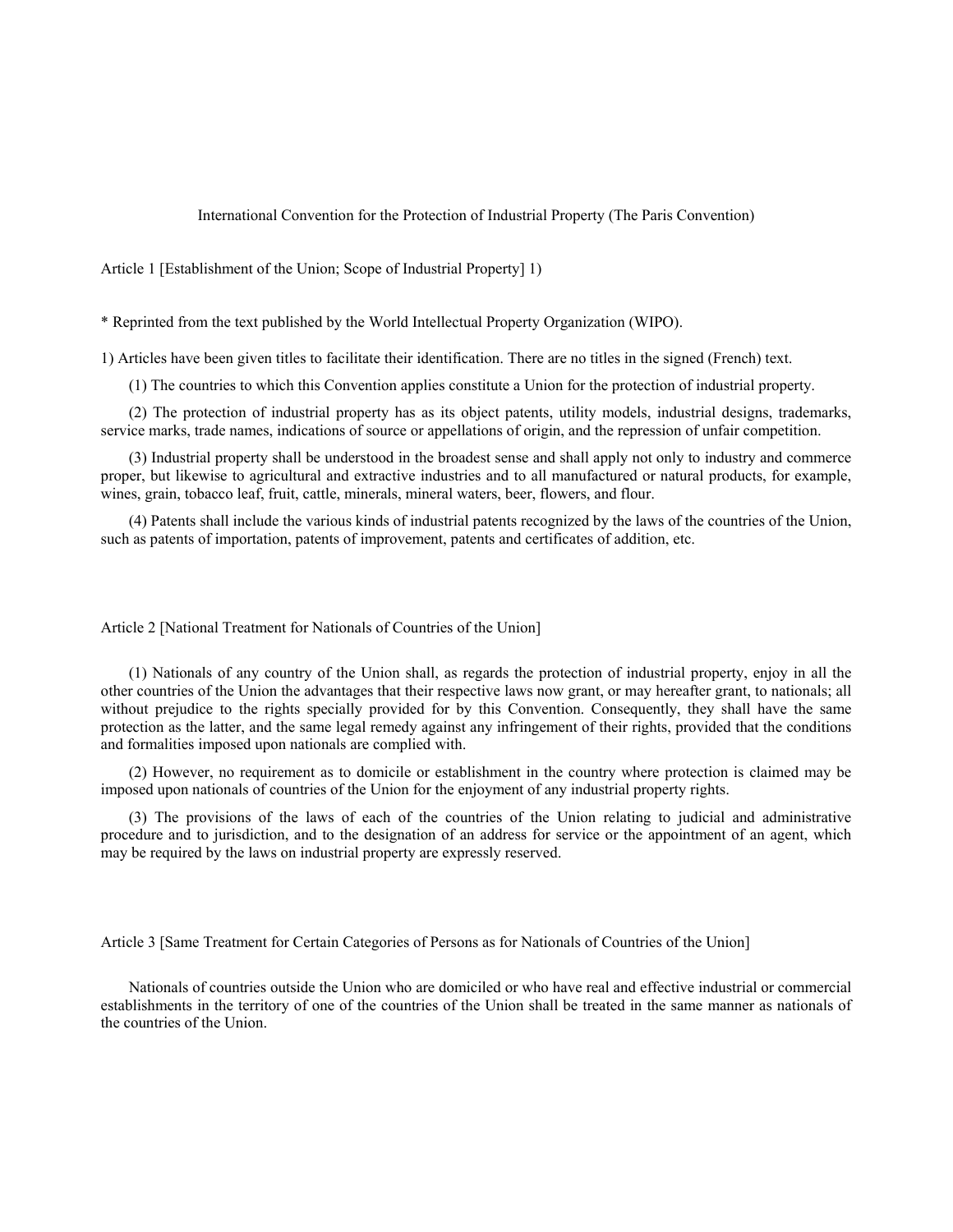International Convention for the Protection of Industrial Property (The Paris Convention)

Article 1 [Establishment of the Union; Scope of Industrial Property] 1)

\* Reprinted from the text published by the World Intellectual Property Organization (WIPO).

1) Articles have been given titles to facilitate their identification. There are no titles in the signed (French) text.

(1) The countries to which this Convention applies constitute a Union for the protection of industrial property.

(2) The protection of industrial property has as its object patents, utility models, industrial designs, trademarks, service marks, trade names, indications of source or appellations of origin, and the repression of unfair competition.

(3) Industrial property shall be understood in the broadest sense and shall apply not only to industry and commerce proper, but likewise to agricultural and extractive industries and to all manufactured or natural products, for example, wines, grain, tobacco leaf, fruit, cattle, minerals, mineral waters, beer, flowers, and flour.

(4) Patents shall include the various kinds of industrial patents recognized by the laws of the countries of the Union, such as patents of importation, patents of improvement, patents and certificates of addition, etc.

Article 2 [National Treatment for Nationals of Countries of the Union]

(1) Nationals of any country of the Union shall, as regards the protection of industrial property, enjoy in all the other countries of the Union the advantages that their respective laws now grant, or may hereafter grant, to nationals; all without prejudice to the rights specially provided for by this Convention. Consequently, they shall have the same protection as the latter, and the same legal remedy against any infringement of their rights, provided that the conditions and formalities imposed upon nationals are complied with.

(2) However, no requirement as to domicile or establishment in the country where protection is claimed may be imposed upon nationals of countries of the Union for the enjoyment of any industrial property rights.

(3) The provisions of the laws of each of the countries of the Union relating to judicial and administrative procedure and to jurisdiction, and to the designation of an address for service or the appointment of an agent, which may be required by the laws on industrial property are expressly reserved.

Article 3 [Same Treatment for Certain Categories of Persons as for Nationals of Countries of the Union]

Nationals of countries outside the Union who are domiciled or who have real and effective industrial or commercial establishments in the territory of one of the countries of the Union shall be treated in the same manner as nationals of the countries of the Union.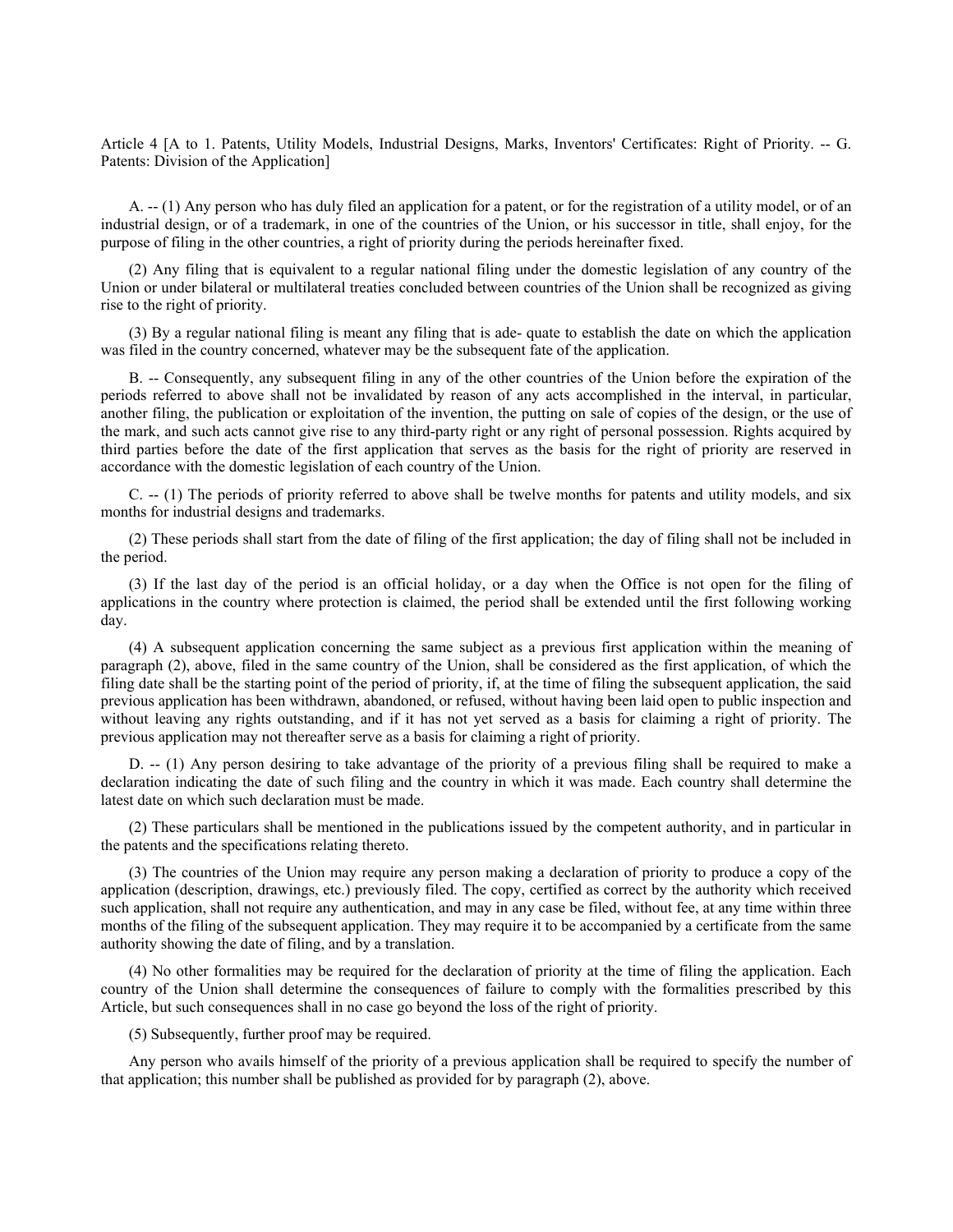Article 4 [A to 1. Patents, Utility Models, Industrial Designs, Marks, Inventors' Certificates: Right of Priority. -- G. Patents: Division of the Application]

A. -- (1) Any person who has duly filed an application for a patent, or for the registration of a utility model, or of an industrial design, or of a trademark, in one of the countries of the Union, or his successor in title, shall enjoy, for the purpose of filing in the other countries, a right of priority during the periods hereinafter fixed.

(2) Any filing that is equivalent to a regular national filing under the domestic legislation of any country of the Union or under bilateral or multilateral treaties concluded between countries of the Union shall be recognized as giving rise to the right of priority.

(3) By a regular national filing is meant any filing that is ade- quate to establish the date on which the application was filed in the country concerned, whatever may be the subsequent fate of the application.

B. -- Consequently, any subsequent filing in any of the other countries of the Union before the expiration of the periods referred to above shall not be invalidated by reason of any acts accomplished in the interval, in particular, another filing, the publication or exploitation of the invention, the putting on sale of copies of the design, or the use of the mark, and such acts cannot give rise to any third-party right or any right of personal possession. Rights acquired by third parties before the date of the first application that serves as the basis for the right of priority are reserved in accordance with the domestic legislation of each country of the Union.

C. -- (1) The periods of priority referred to above shall be twelve months for patents and utility models, and six months for industrial designs and trademarks.

(2) These periods shall start from the date of filing of the first application; the day of filing shall not be included in the period.

(3) If the last day of the period is an official holiday, or a day when the Office is not open for the filing of applications in the country where protection is claimed, the period shall be extended until the first following working day.

(4) A subsequent application concerning the same subject as a previous first application within the meaning of paragraph (2), above, filed in the same country of the Union, shall be considered as the first application, of which the filing date shall be the starting point of the period of priority, if, at the time of filing the subsequent application, the said previous application has been withdrawn, abandoned, or refused, without having been laid open to public inspection and without leaving any rights outstanding, and if it has not yet served as a basis for claiming a right of priority. The previous application may not thereafter serve as a basis for claiming a right of priority.

D. -- (1) Any person desiring to take advantage of the priority of a previous filing shall be required to make a declaration indicating the date of such filing and the country in which it was made. Each country shall determine the latest date on which such declaration must be made.

(2) These particulars shall be mentioned in the publications issued by the competent authority, and in particular in the patents and the specifications relating thereto.

(3) The countries of the Union may require any person making a declaration of priority to produce a copy of the application (description, drawings, etc.) previously filed. The copy, certified as correct by the authority which received such application, shall not require any authentication, and may in any case be filed, without fee, at any time within three months of the filing of the subsequent application. They may require it to be accompanied by a certificate from the same authority showing the date of filing, and by a translation.

(4) No other formalities may be required for the declaration of priority at the time of filing the application. Each country of the Union shall determine the consequences of failure to comply with the formalities prescribed by this Article, but such consequences shall in no case go beyond the loss of the right of priority.

(5) Subsequently, further proof may be required.

Any person who avails himself of the priority of a previous application shall be required to specify the number of that application; this number shall be published as provided for by paragraph (2), above.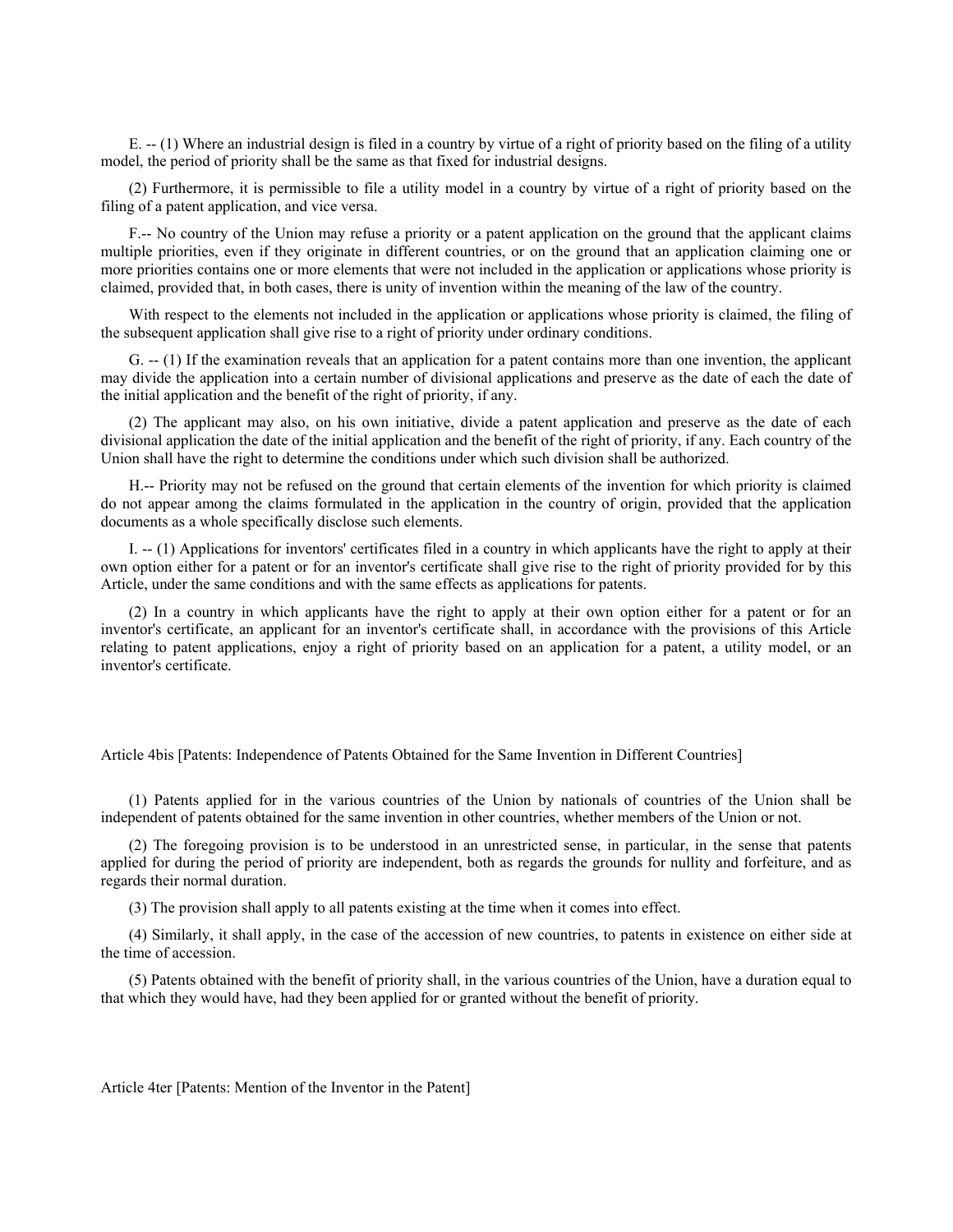E. -- (1) Where an industrial design is filed in a country by virtue of a right of priority based on the filing of a utility model, the period of priority shall be the same as that fixed for industrial designs.

(2) Furthermore, it is permissible to file a utility model in a country by virtue of a right of priority based on the filing of a patent application, and vice versa.

F.-- No country of the Union may refuse a priority or a patent application on the ground that the applicant claims multiple priorities, even if they originate in different countries, or on the ground that an application claiming one or more priorities contains one or more elements that were not included in the application or applications whose priority is claimed, provided that, in both cases, there is unity of invention within the meaning of the law of the country.

With respect to the elements not included in the application or applications whose priority is claimed, the filing of the subsequent application shall give rise to a right of priority under ordinary conditions.

G. -- (1) If the examination reveals that an application for a patent contains more than one invention, the applicant may divide the application into a certain number of divisional applications and preserve as the date of each the date of the initial application and the benefit of the right of priority, if any.

(2) The applicant may also, on his own initiative, divide a patent application and preserve as the date of each divisional application the date of the initial application and the benefit of the right of priority, if any. Each country of the Union shall have the right to determine the conditions under which such division shall be authorized.

H.-- Priority may not be refused on the ground that certain elements of the invention for which priority is claimed do not appear among the claims formulated in the application in the country of origin, provided that the application documents as a whole specifically disclose such elements.

I. -- (1) Applications for inventors' certificates filed in a country in which applicants have the right to apply at their own option either for a patent or for an inventor's certificate shall give rise to the right of priority provided for by this Article, under the same conditions and with the same effects as applications for patents.

(2) In a country in which applicants have the right to apply at their own option either for a patent or for an inventor's certificate, an applicant for an inventor's certificate shall, in accordance with the provisions of this Article relating to patent applications, enjoy a right of priority based on an application for a patent, a utility model, or an inventor's certificate.

Article 4bis [Patents: Independence of Patents Obtained for the Same Invention in Different Countries]

(1) Patents applied for in the various countries of the Union by nationals of countries of the Union shall be independent of patents obtained for the same invention in other countries, whether members of the Union or not.

(2) The foregoing provision is to be understood in an unrestricted sense, in particular, in the sense that patents applied for during the period of priority are independent, both as regards the grounds for nullity and forfeiture, and as regards their normal duration.

(3) The provision shall apply to all patents existing at the time when it comes into effect.

(4) Similarly, it shall apply, in the case of the accession of new countries, to patents in existence on either side at the time of accession.

(5) Patents obtained with the benefit of priority shall, in the various countries of the Union, have a duration equal to that which they would have, had they been applied for or granted without the benefit of priority.

Article 4ter [Patents: Mention of the Inventor in the Patent]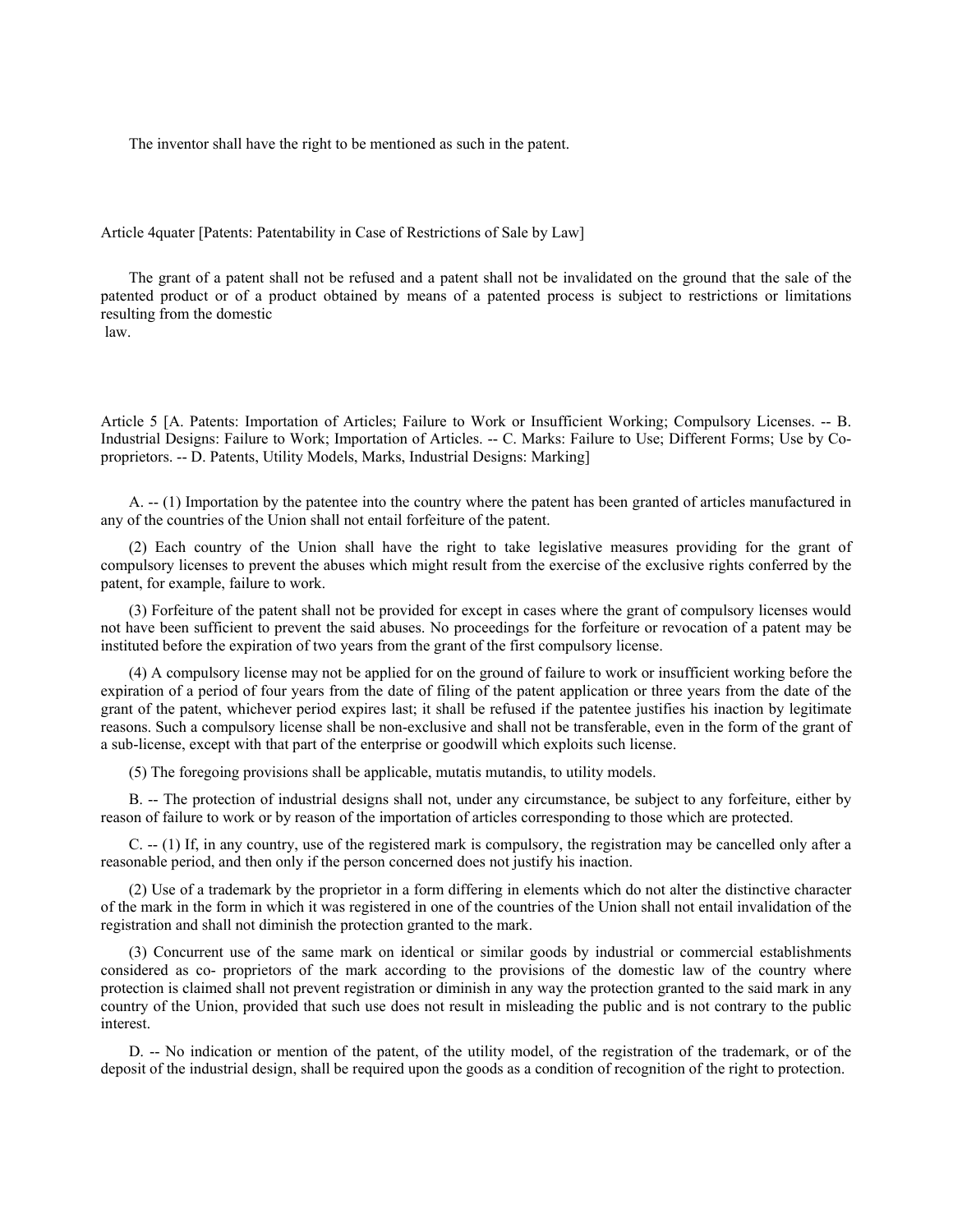The inventor shall have the right to be mentioned as such in the patent.

Article 4quater [Patents: Patentability in Case of Restrictions of Sale by Law]

The grant of a patent shall not be refused and a patent shall not be invalidated on the ground that the sale of the patented product or of a product obtained by means of a patented process is subject to restrictions or limitations resulting from the domestic law.

Article 5 [A. Patents: Importation of Articles; Failure to Work or Insufficient Working; Compulsory Licenses. -- B. Industrial Designs: Failure to Work; Importation of Articles. -- C. Marks: Failure to Use; Different Forms; Use by Coproprietors. -- D. Patents, Utility Models, Marks, Industrial Designs: Marking]

A. -- (1) Importation by the patentee into the country where the patent has been granted of articles manufactured in any of the countries of the Union shall not entail forfeiture of the patent.

(2) Each country of the Union shall have the right to take legislative measures providing for the grant of compulsory licenses to prevent the abuses which might result from the exercise of the exclusive rights conferred by the patent, for example, failure to work.

(3) Forfeiture of the patent shall not be provided for except in cases where the grant of compulsory licenses would not have been sufficient to prevent the said abuses. No proceedings for the forfeiture or revocation of a patent may be instituted before the expiration of two years from the grant of the first compulsory license.

(4) A compulsory license may not be applied for on the ground of failure to work or insufficient working before the expiration of a period of four years from the date of filing of the patent application or three years from the date of the grant of the patent, whichever period expires last; it shall be refused if the patentee justifies his inaction by legitimate reasons. Such a compulsory license shall be non-exclusive and shall not be transferable, even in the form of the grant of a sub-license, except with that part of the enterprise or goodwill which exploits such license.

(5) The foregoing provisions shall be applicable, mutatis mutandis, to utility models.

B. -- The protection of industrial designs shall not, under any circumstance, be subject to any forfeiture, either by reason of failure to work or by reason of the importation of articles corresponding to those which are protected.

C. -- (1) If, in any country, use of the registered mark is compulsory, the registration may be cancelled only after a reasonable period, and then only if the person concerned does not justify his inaction.

(2) Use of a trademark by the proprietor in a form differing in elements which do not alter the distinctive character of the mark in the form in which it was registered in one of the countries of the Union shall not entail invalidation of the registration and shall not diminish the protection granted to the mark.

(3) Concurrent use of the same mark on identical or similar goods by industrial or commercial establishments considered as co- proprietors of the mark according to the provisions of the domestic law of the country where protection is claimed shall not prevent registration or diminish in any way the protection granted to the said mark in any country of the Union, provided that such use does not result in misleading the public and is not contrary to the public interest.

D. -- No indication or mention of the patent, of the utility model, of the registration of the trademark, or of the deposit of the industrial design, shall be required upon the goods as a condition of recognition of the right to protection.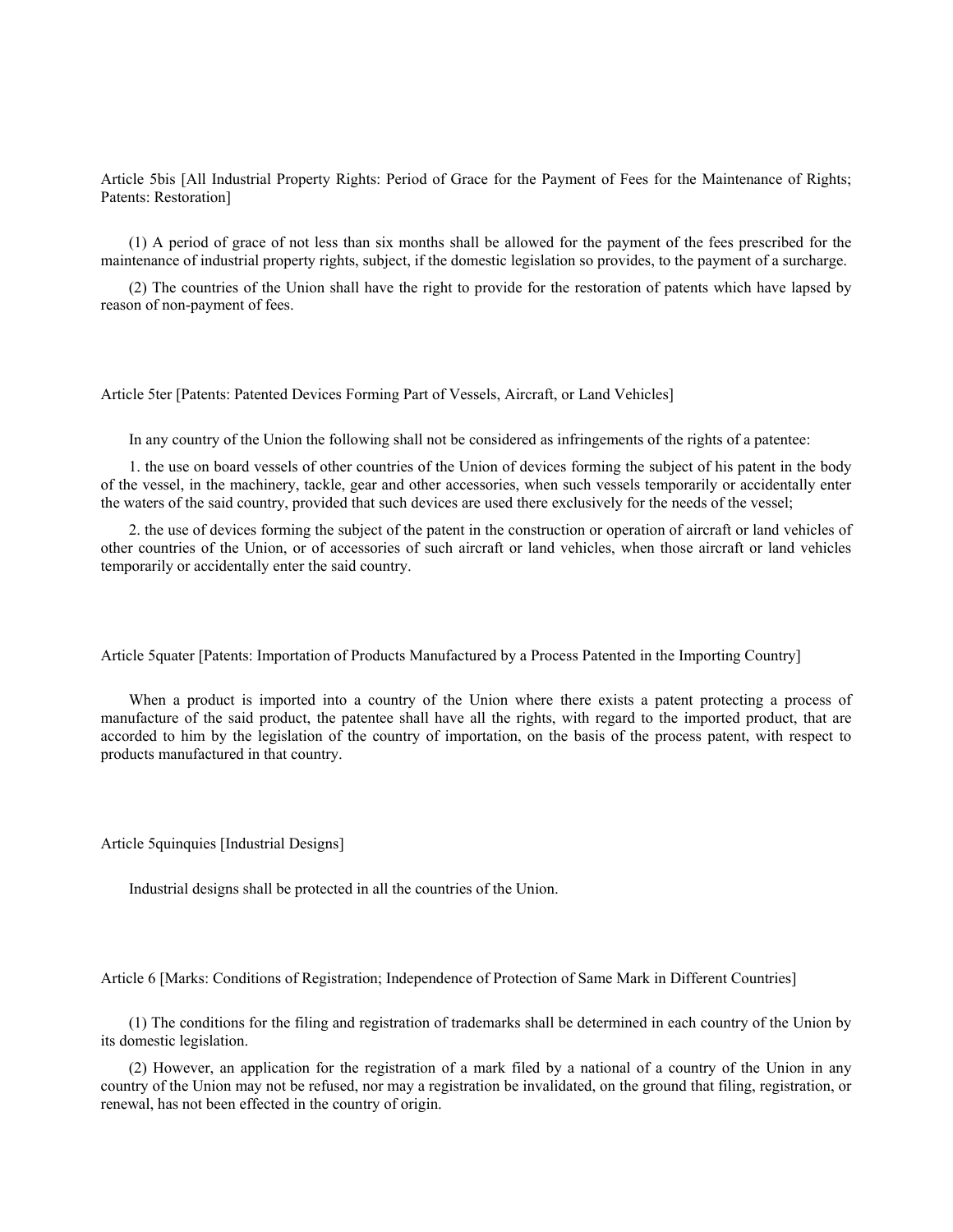Article 5bis [All Industrial Property Rights: Period of Grace for the Payment of Fees for the Maintenance of Rights; Patents: Restoration]

(1) A period of grace of not less than six months shall be allowed for the payment of the fees prescribed for the maintenance of industrial property rights, subject, if the domestic legislation so provides, to the payment of a surcharge.

(2) The countries of the Union shall have the right to provide for the restoration of patents which have lapsed by reason of non-payment of fees.

Article 5ter [Patents: Patented Devices Forming Part of Vessels, Aircraft, or Land Vehicles]

In any country of the Union the following shall not be considered as infringements of the rights of a patentee:

1. the use on board vessels of other countries of the Union of devices forming the subject of his patent in the body of the vessel, in the machinery, tackle, gear and other accessories, when such vessels temporarily or accidentally enter the waters of the said country, provided that such devices are used there exclusively for the needs of the vessel;

2. the use of devices forming the subject of the patent in the construction or operation of aircraft or land vehicles of other countries of the Union, or of accessories of such aircraft or land vehicles, when those aircraft or land vehicles temporarily or accidentally enter the said country.

Article 5quater [Patents: Importation of Products Manufactured by a Process Patented in the Importing Country]

When a product is imported into a country of the Union where there exists a patent protecting a process of manufacture of the said product, the patentee shall have all the rights, with regard to the imported product, that are accorded to him by the legislation of the country of importation, on the basis of the process patent, with respect to products manufactured in that country.

Article 5quinquies [Industrial Designs]

Industrial designs shall be protected in all the countries of the Union.

Article 6 [Marks: Conditions of Registration; Independence of Protection of Same Mark in Different Countries]

(1) The conditions for the filing and registration of trademarks shall be determined in each country of the Union by its domestic legislation.

(2) However, an application for the registration of a mark filed by a national of a country of the Union in any country of the Union may not be refused, nor may a registration be invalidated, on the ground that filing, registration, or renewal, has not been effected in the country of origin.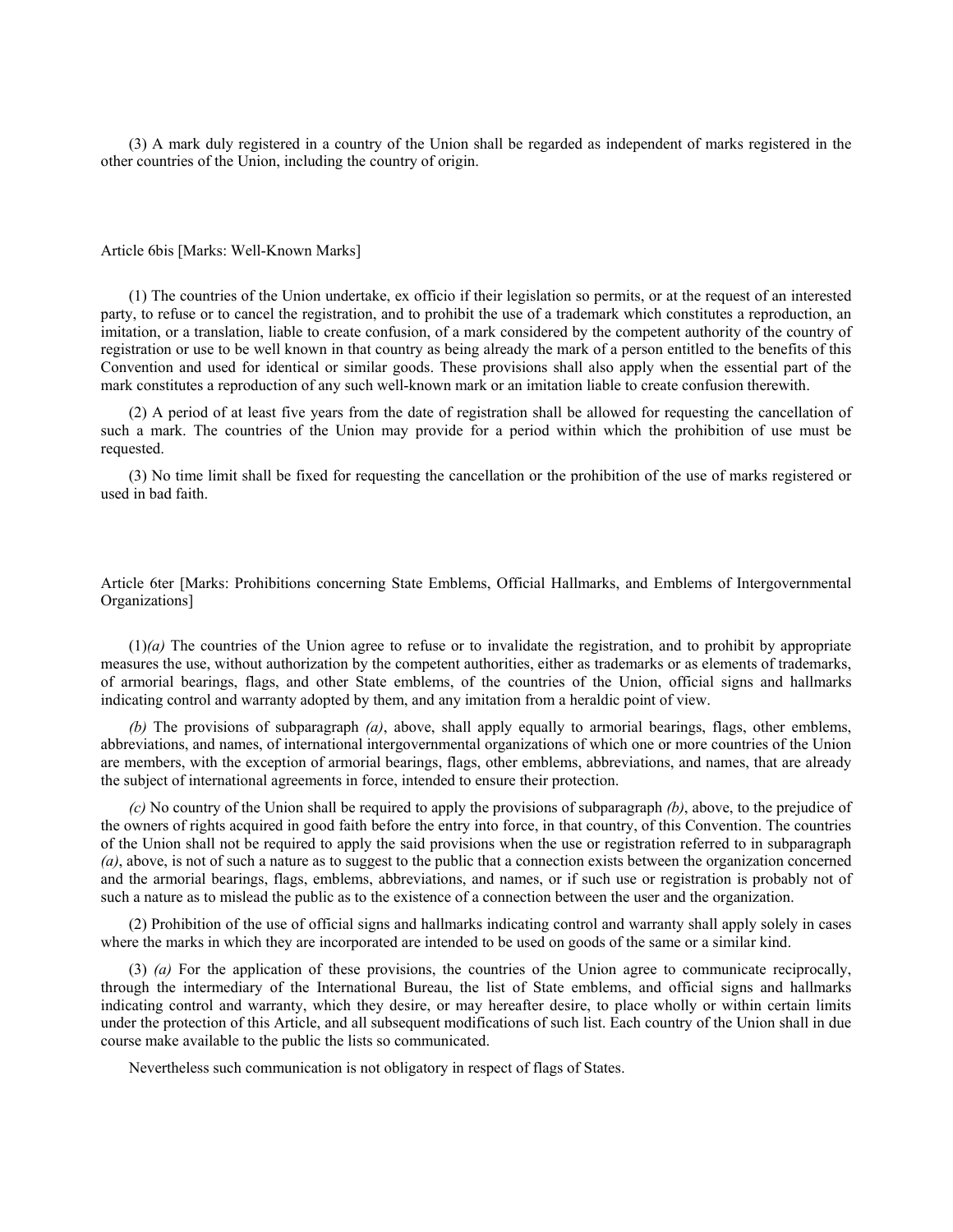(3) A mark duly registered in a country of the Union shall be regarded as independent of marks registered in the other countries of the Union, including the country of origin.

#### Article 6bis [Marks: Well-Known Marks]

(1) The countries of the Union undertake, ex officio if their legislation so permits, or at the request of an interested party, to refuse or to cancel the registration, and to prohibit the use of a trademark which constitutes a reproduction, an imitation, or a translation, liable to create confusion, of a mark considered by the competent authority of the country of registration or use to be well known in that country as being already the mark of a person entitled to the benefits of this Convention and used for identical or similar goods. These provisions shall also apply when the essential part of the mark constitutes a reproduction of any such well-known mark or an imitation liable to create confusion therewith.

(2) A period of at least five years from the date of registration shall be allowed for requesting the cancellation of such a mark. The countries of the Union may provide for a period within which the prohibition of use must be requested.

(3) No time limit shall be fixed for requesting the cancellation or the prohibition of the use of marks registered or used in bad faith.

Article 6ter [Marks: Prohibitions concerning State Emblems, Official Hallmarks, and Emblems of Intergovernmental Organizations]

 $(1)(a)$  The countries of the Union agree to refuse or to invalidate the registration, and to prohibit by appropriate measures the use, without authorization by the competent authorities, either as trademarks or as elements of trademarks, of armorial bearings, flags, and other State emblems, of the countries of the Union, official signs and hallmarks indicating control and warranty adopted by them, and any imitation from a heraldic point of view.

*(b)* The provisions of subparagraph *(a)*, above, shall apply equally to armorial bearings, flags, other emblems, abbreviations, and names, of international intergovernmental organizations of which one or more countries of the Union are members, with the exception of armorial bearings, flags, other emblems, abbreviations, and names, that are already the subject of international agreements in force, intended to ensure their protection.

*(c)* No country of the Union shall be required to apply the provisions of subparagraph *(b)*, above, to the prejudice of the owners of rights acquired in good faith before the entry into force, in that country, of this Convention. The countries of the Union shall not be required to apply the said provisions when the use or registration referred to in subparagraph *(a)*, above, is not of such a nature as to suggest to the public that a connection exists between the organization concerned and the armorial bearings, flags, emblems, abbreviations, and names, or if such use or registration is probably not of such a nature as to mislead the public as to the existence of a connection between the user and the organization.

(2) Prohibition of the use of official signs and hallmarks indicating control and warranty shall apply solely in cases where the marks in which they are incorporated are intended to be used on goods of the same or a similar kind.

(3) *(a)* For the application of these provisions, the countries of the Union agree to communicate reciprocally, through the intermediary of the International Bureau, the list of State emblems, and official signs and hallmarks indicating control and warranty, which they desire, or may hereafter desire, to place wholly or within certain limits under the protection of this Article, and all subsequent modifications of such list. Each country of the Union shall in due course make available to the public the lists so communicated.

Nevertheless such communication is not obligatory in respect of flags of States.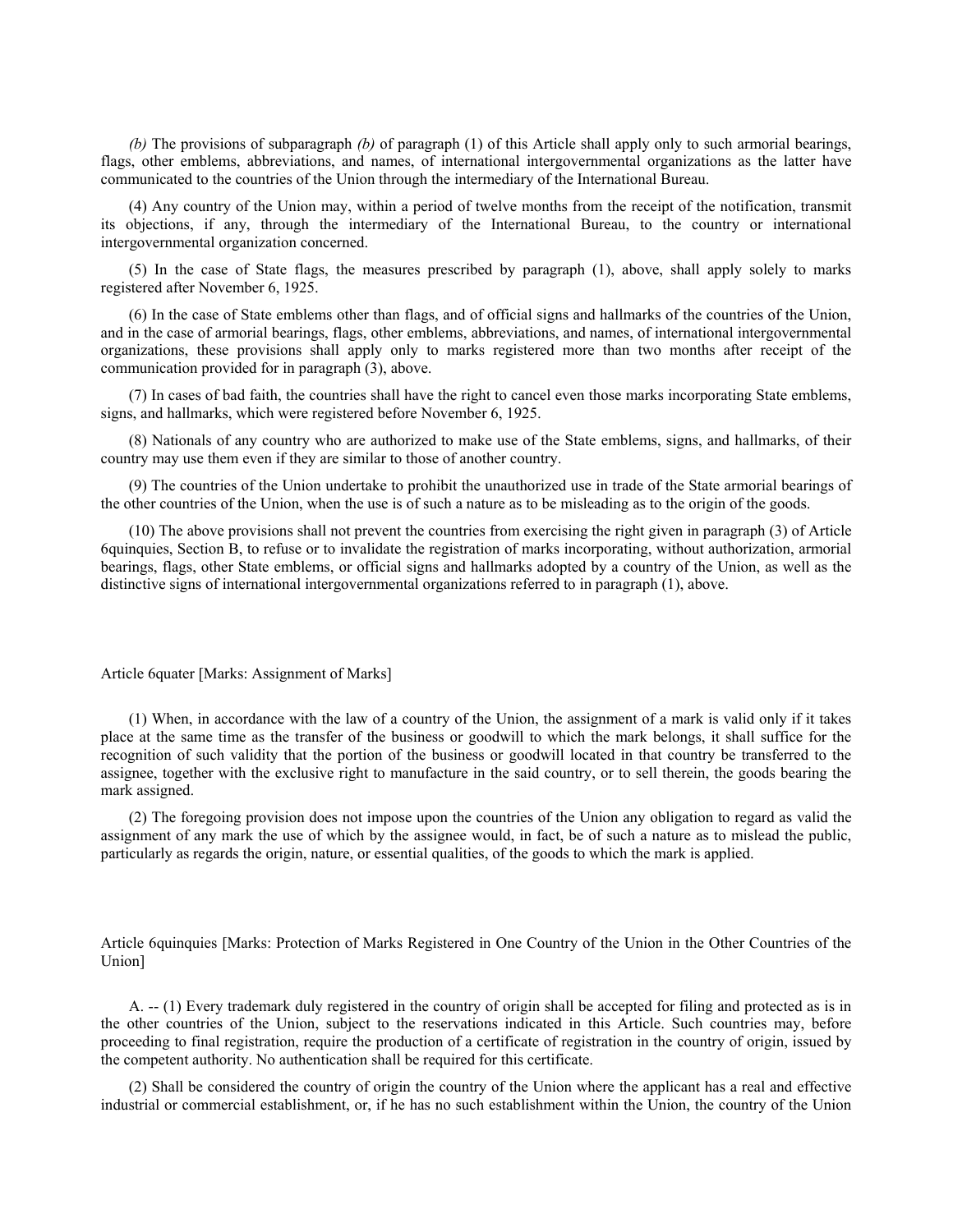*(b)* The provisions of subparagraph *(b)* of paragraph (1) of this Article shall apply only to such armorial bearings, flags, other emblems, abbreviations, and names, of international intergovernmental organizations as the latter have communicated to the countries of the Union through the intermediary of the International Bureau.

(4) Any country of the Union may, within a period of twelve months from the receipt of the notification, transmit its objections, if any, through the intermediary of the International Bureau, to the country or international intergovernmental organization concerned.

(5) In the case of State flags, the measures prescribed by paragraph (1), above, shall apply solely to marks registered after November 6, 1925.

(6) In the case of State emblems other than flags, and of official signs and hallmarks of the countries of the Union, and in the case of armorial bearings, flags, other emblems, abbreviations, and names, of international intergovernmental organizations, these provisions shall apply only to marks registered more than two months after receipt of the communication provided for in paragraph (3), above.

(7) In cases of bad faith, the countries shall have the right to cancel even those marks incorporating State emblems, signs, and hallmarks, which were registered before November 6, 1925.

(8) Nationals of any country who are authorized to make use of the State emblems, signs, and hallmarks, of their country may use them even if they are similar to those of another country.

(9) The countries of the Union undertake to prohibit the unauthorized use in trade of the State armorial bearings of the other countries of the Union, when the use is of such a nature as to be misleading as to the origin of the goods.

(10) The above provisions shall not prevent the countries from exercising the right given in paragraph (3) of Article 6quinquies, Section B, to refuse or to invalidate the registration of marks incorporating, without authorization, armorial bearings, flags, other State emblems, or official signs and hallmarks adopted by a country of the Union, as well as the distinctive signs of international intergovernmental organizations referred to in paragraph (1), above.

Article 6quater [Marks: Assignment of Marks]

(1) When, in accordance with the law of a country of the Union, the assignment of a mark is valid only if it takes place at the same time as the transfer of the business or goodwill to which the mark belongs, it shall suffice for the recognition of such validity that the portion of the business or goodwill located in that country be transferred to the assignee, together with the exclusive right to manufacture in the said country, or to sell therein, the goods bearing the mark assigned.

(2) The foregoing provision does not impose upon the countries of the Union any obligation to regard as valid the assignment of any mark the use of which by the assignee would, in fact, be of such a nature as to mislead the public, particularly as regards the origin, nature, or essential qualities, of the goods to which the mark is applied.

Article 6quinquies [Marks: Protection of Marks Registered in One Country of the Union in the Other Countries of the Union]

A. -- (1) Every trademark duly registered in the country of origin shall be accepted for filing and protected as is in the other countries of the Union, subject to the reservations indicated in this Article. Such countries may, before proceeding to final registration, require the production of a certificate of registration in the country of origin, issued by the competent authority. No authentication shall be required for this certificate.

(2) Shall be considered the country of origin the country of the Union where the applicant has a real and effective industrial or commercial establishment, or, if he has no such establishment within the Union, the country of the Union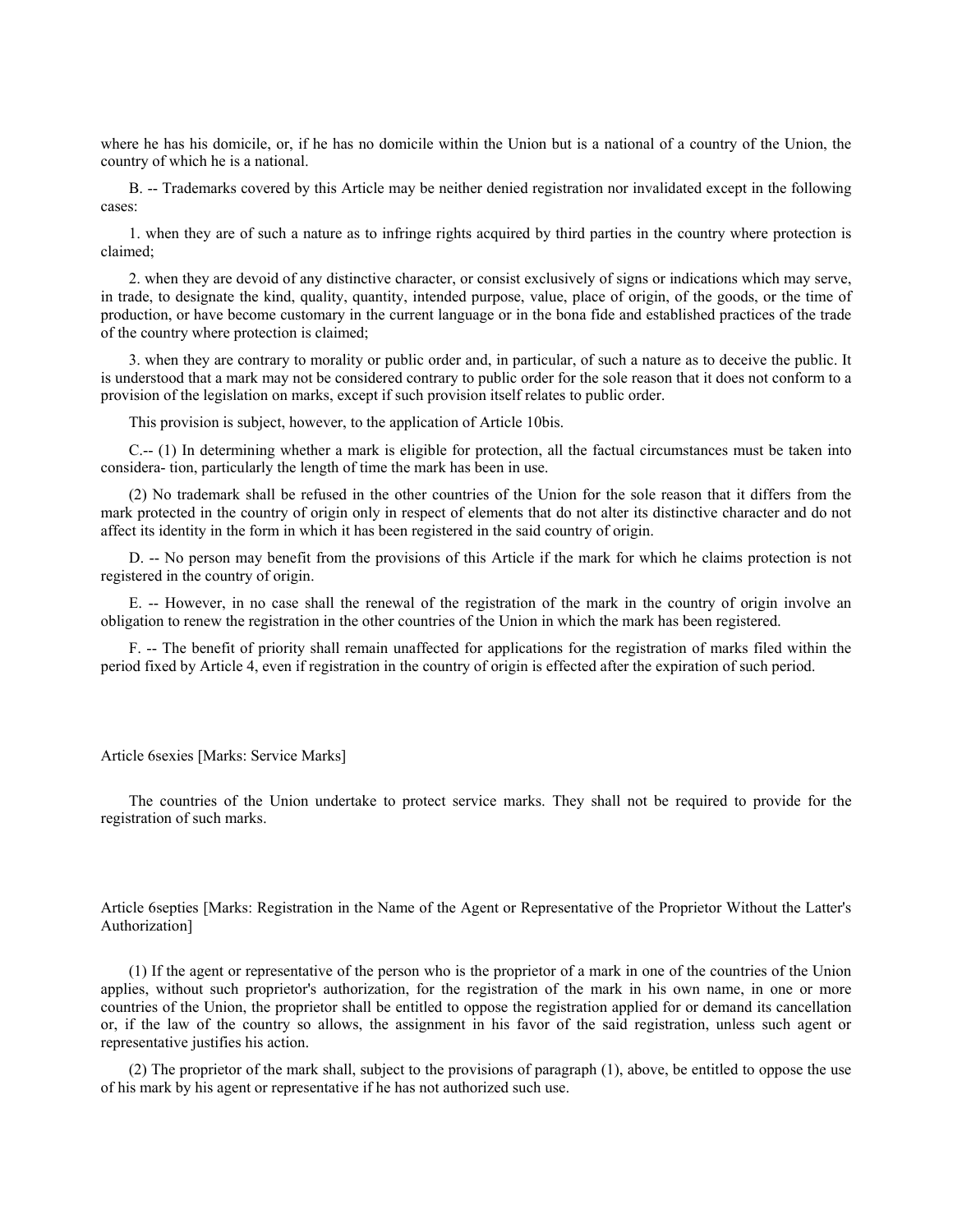where he has his domicile, or, if he has no domicile within the Union but is a national of a country of the Union, the country of which he is a national.

B. -- Trademarks covered by this Article may be neither denied registration nor invalidated except in the following cases:

1. when they are of such a nature as to infringe rights acquired by third parties in the country where protection is claimed;

2. when they are devoid of any distinctive character, or consist exclusively of signs or indications which may serve, in trade, to designate the kind, quality, quantity, intended purpose, value, place of origin, of the goods, or the time of production, or have become customary in the current language or in the bona fide and established practices of the trade of the country where protection is claimed;

3. when they are contrary to morality or public order and, in particular, of such a nature as to deceive the public. It is understood that a mark may not be considered contrary to public order for the sole reason that it does not conform to a provision of the legislation on marks, except if such provision itself relates to public order.

This provision is subject, however, to the application of Article 10bis.

C.-- (1) In determining whether a mark is eligible for protection, all the factual circumstances must be taken into considera- tion, particularly the length of time the mark has been in use.

(2) No trademark shall be refused in the other countries of the Union for the sole reason that it differs from the mark protected in the country of origin only in respect of elements that do not alter its distinctive character and do not affect its identity in the form in which it has been registered in the said country of origin.

D. -- No person may benefit from the provisions of this Article if the mark for which he claims protection is not registered in the country of origin.

E. -- However, in no case shall the renewal of the registration of the mark in the country of origin involve an obligation to renew the registration in the other countries of the Union in which the mark has been registered.

F. -- The benefit of priority shall remain unaffected for applications for the registration of marks filed within the period fixed by Article 4, even if registration in the country of origin is effected after the expiration of such period.

## Article 6sexies [Marks: Service Marks]

The countries of the Union undertake to protect service marks. They shall not be required to provide for the registration of such marks.

Article 6septies [Marks: Registration in the Name of the Agent or Representative of the Proprietor Without the Latter's Authorization]

(1) If the agent or representative of the person who is the proprietor of a mark in one of the countries of the Union applies, without such proprietor's authorization, for the registration of the mark in his own name, in one or more countries of the Union, the proprietor shall be entitled to oppose the registration applied for or demand its cancellation or, if the law of the country so allows, the assignment in his favor of the said registration, unless such agent or representative justifies his action.

(2) The proprietor of the mark shall, subject to the provisions of paragraph (1), above, be entitled to oppose the use of his mark by his agent or representative if he has not authorized such use.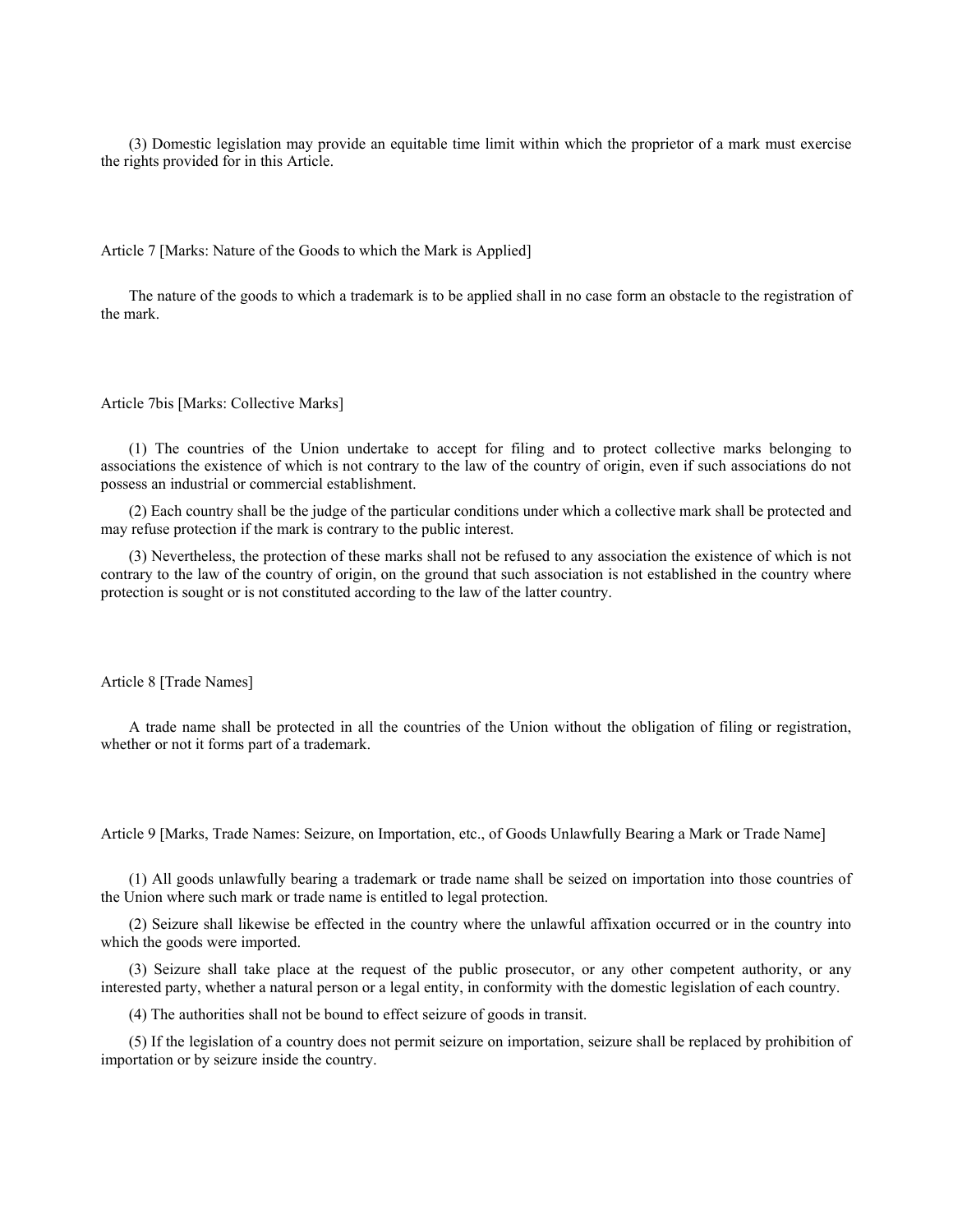(3) Domestic legislation may provide an equitable time limit within which the proprietor of a mark must exercise the rights provided for in this Article.

Article 7 [Marks: Nature of the Goods to which the Mark is Applied]

The nature of the goods to which a trademark is to be applied shall in no case form an obstacle to the registration of the mark.

Article 7bis [Marks: Collective Marks]

(1) The countries of the Union undertake to accept for filing and to protect collective marks belonging to associations the existence of which is not contrary to the law of the country of origin, even if such associations do not possess an industrial or commercial establishment.

(2) Each country shall be the judge of the particular conditions under which a collective mark shall be protected and may refuse protection if the mark is contrary to the public interest.

(3) Nevertheless, the protection of these marks shall not be refused to any association the existence of which is not contrary to the law of the country of origin, on the ground that such association is not established in the country where protection is sought or is not constituted according to the law of the latter country.

Article 8 [Trade Names]

A trade name shall be protected in all the countries of the Union without the obligation of filing or registration, whether or not it forms part of a trademark.

Article 9 [Marks, Trade Names: Seizure, on Importation, etc., of Goods Unlawfully Bearing a Mark or Trade Name]

(1) All goods unlawfully bearing a trademark or trade name shall be seized on importation into those countries of the Union where such mark or trade name is entitled to legal protection.

(2) Seizure shall likewise be effected in the country where the unlawful affixation occurred or in the country into which the goods were imported.

(3) Seizure shall take place at the request of the public prosecutor, or any other competent authority, or any interested party, whether a natural person or a legal entity, in conformity with the domestic legislation of each country.

(4) The authorities shall not be bound to effect seizure of goods in transit.

(5) If the legislation of a country does not permit seizure on importation, seizure shall be replaced by prohibition of importation or by seizure inside the country.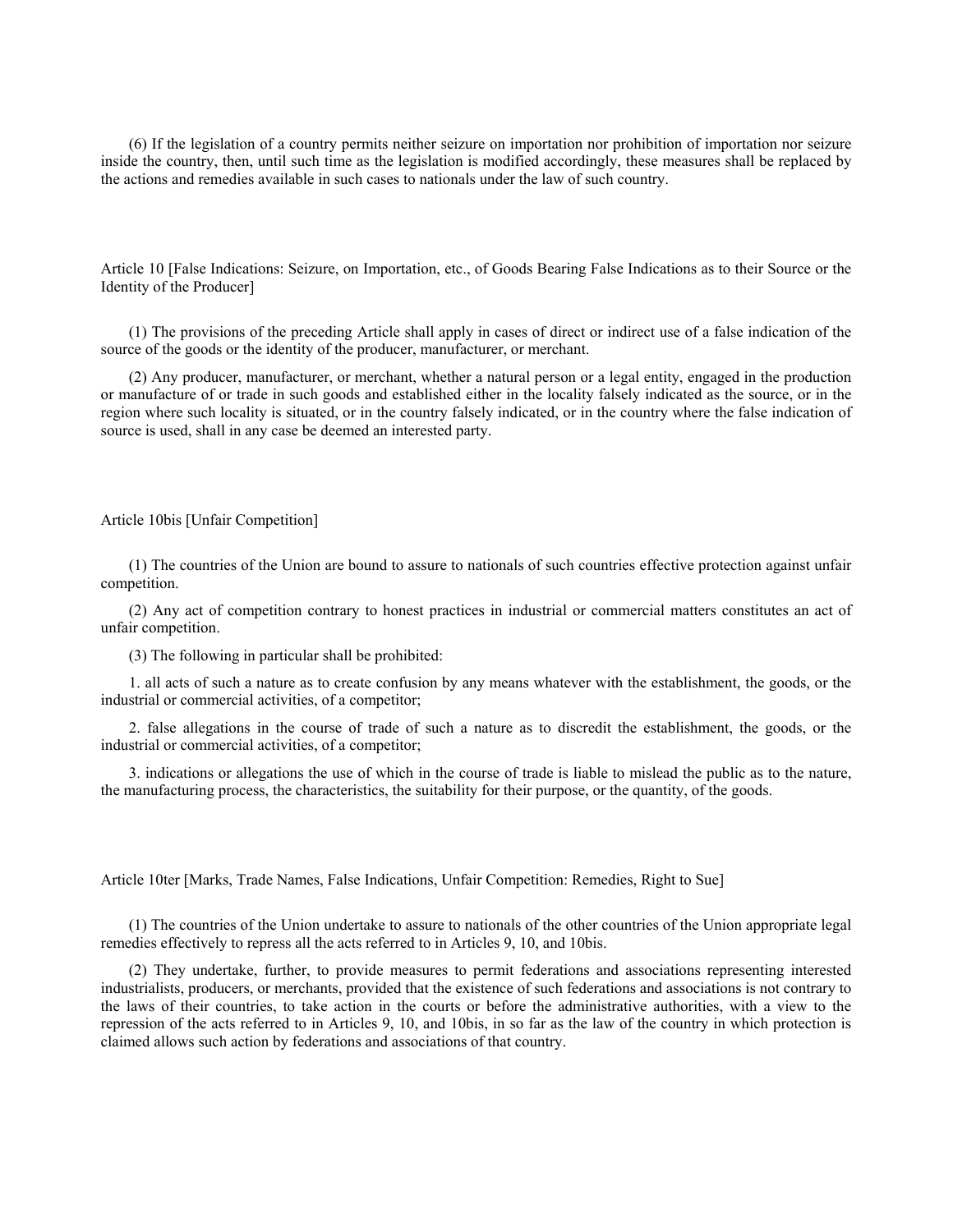(6) If the legislation of a country permits neither seizure on importation nor prohibition of importation nor seizure inside the country, then, until such time as the legislation is modified accordingly, these measures shall be replaced by the actions and remedies available in such cases to nationals under the law of such country.

Article 10 [False Indications: Seizure, on Importation, etc., of Goods Bearing False Indications as to their Source or the Identity of the Producer]

(1) The provisions of the preceding Article shall apply in cases of direct or indirect use of a false indication of the source of the goods or the identity of the producer, manufacturer, or merchant.

(2) Any producer, manufacturer, or merchant, whether a natural person or a legal entity, engaged in the production or manufacture of or trade in such goods and established either in the locality falsely indicated as the source, or in the region where such locality is situated, or in the country falsely indicated, or in the country where the false indication of source is used, shall in any case be deemed an interested party.

### Article 10bis [Unfair Competition]

(1) The countries of the Union are bound to assure to nationals of such countries effective protection against unfair competition.

(2) Any act of competition contrary to honest practices in industrial or commercial matters constitutes an act of unfair competition.

(3) The following in particular shall be prohibited:

1. all acts of such a nature as to create confusion by any means whatever with the establishment, the goods, or the industrial or commercial activities, of a competitor;

2. false allegations in the course of trade of such a nature as to discredit the establishment, the goods, or the industrial or commercial activities, of a competitor;

3. indications or allegations the use of which in the course of trade is liable to mislead the public as to the nature, the manufacturing process, the characteristics, the suitability for their purpose, or the quantity, of the goods.

Article 10ter [Marks, Trade Names, False Indications, Unfair Competition: Remedies, Right to Sue]

(1) The countries of the Union undertake to assure to nationals of the other countries of the Union appropriate legal remedies effectively to repress all the acts referred to in Articles 9, 10, and 10bis.

(2) They undertake, further, to provide measures to permit federations and associations representing interested industrialists, producers, or merchants, provided that the existence of such federations and associations is not contrary to the laws of their countries, to take action in the courts or before the administrative authorities, with a view to the repression of the acts referred to in Articles 9, 10, and 10bis, in so far as the law of the country in which protection is claimed allows such action by federations and associations of that country.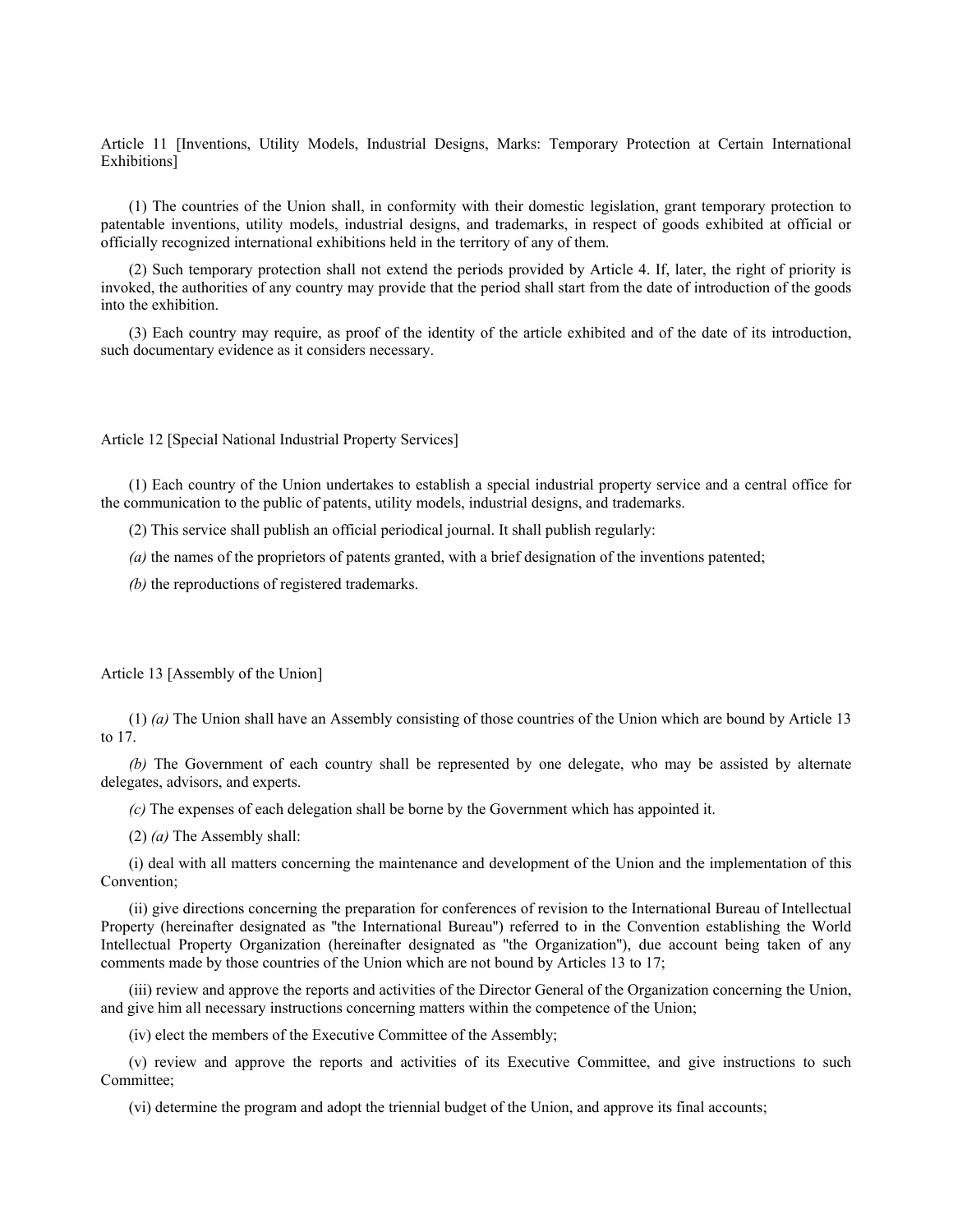Article 11 [Inventions, Utility Models, Industrial Designs, Marks: Temporary Protection at Certain International Exhibitions]

(1) The countries of the Union shall, in conformity with their domestic legislation, grant temporary protection to patentable inventions, utility models, industrial designs, and trademarks, in respect of goods exhibited at official or officially recognized international exhibitions held in the territory of any of them.

(2) Such temporary protection shall not extend the periods provided by Article 4. If, later, the right of priority is invoked, the authorities of any country may provide that the period shall start from the date of introduction of the goods into the exhibition.

(3) Each country may require, as proof of the identity of the article exhibited and of the date of its introduction, such documentary evidence as it considers necessary.

Article 12 [Special National Industrial Property Services]

(1) Each country of the Union undertakes to establish a special industrial property service and a central office for the communication to the public of patents, utility models, industrial designs, and trademarks.

(2) This service shall publish an official periodical journal. It shall publish regularly:

*(a)* the names of the proprietors of patents granted, with a brief designation of the inventions patented;

*(b)* the reproductions of registered trademarks.

Article 13 [Assembly of the Union]

(1) *(a)* The Union shall have an Assembly consisting of those countries of the Union which are bound by Article 13 to 17.

*(b)* The Government of each country shall be represented by one delegate, who may be assisted by alternate delegates, advisors, and experts.

*(c)* The expenses of each delegation shall be borne by the Government which has appointed it.

(2) *(a)* The Assembly shall:

(i) deal with all matters concerning the maintenance and development of the Union and the implementation of this Convention;

(ii) give directions concerning the preparation for conferences of revision to the International Bureau of Intellectual Property (hereinafter designated as ''the International Bureau'') referred to in the Convention establishing the World Intellectual Property Organization (hereinafter designated as ''the Organization''), due account being taken of any comments made by those countries of the Union which are not bound by Articles 13 to 17;

(iii) review and approve the reports and activities of the Director General of the Organization concerning the Union, and give him all necessary instructions concerning matters within the competence of the Union;

(iv) elect the members of the Executive Committee of the Assembly;

(v) review and approve the reports and activities of its Executive Committee, and give instructions to such Committee;

(vi) determine the program and adopt the triennial budget of the Union, and approve its final accounts;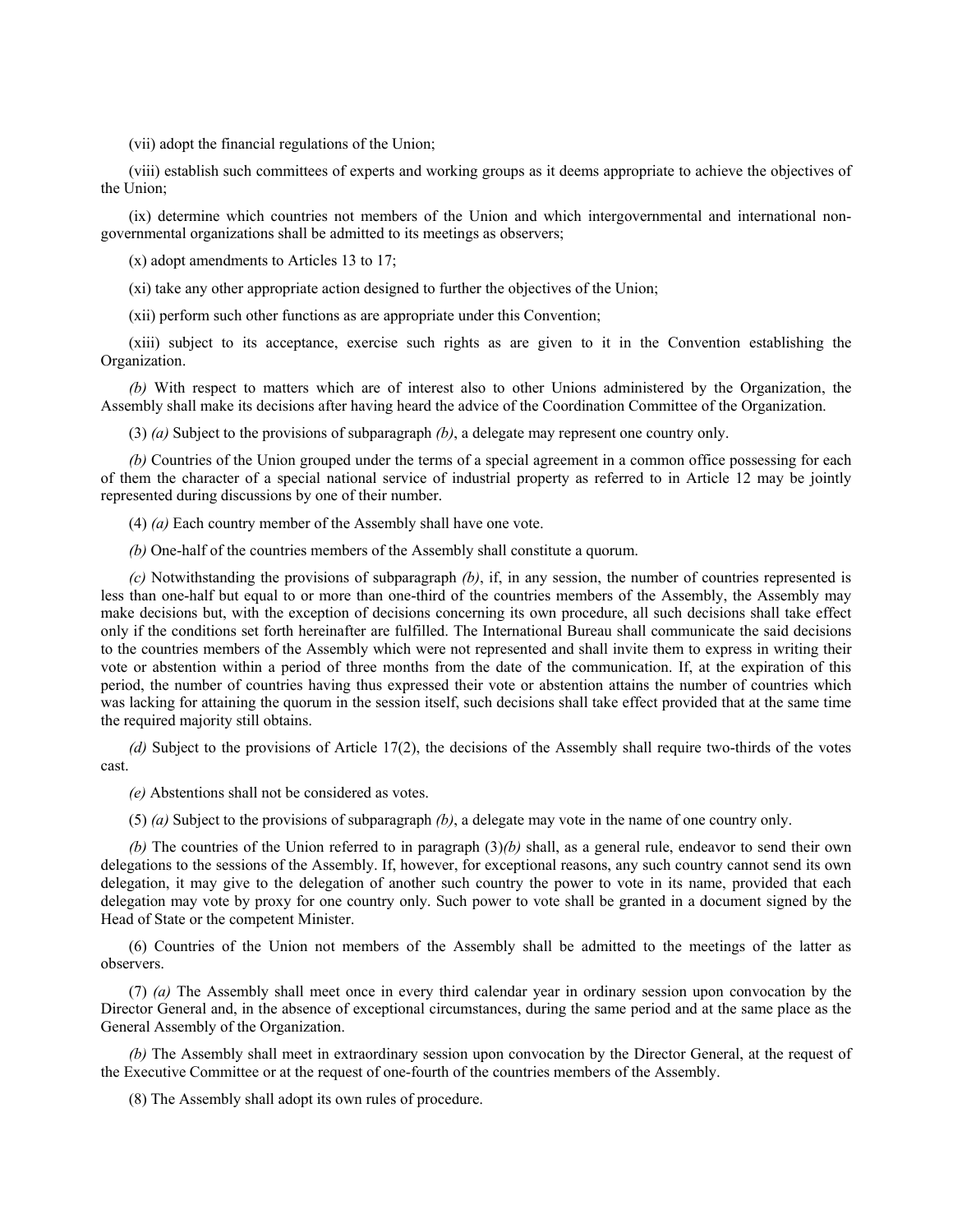(vii) adopt the financial regulations of the Union;

(viii) establish such committees of experts and working groups as it deems appropriate to achieve the objectives of the Union;

(ix) determine which countries not members of the Union and which intergovernmental and international nongovernmental organizations shall be admitted to its meetings as observers;

(x) adopt amendments to Articles 13 to 17;

(xi) take any other appropriate action designed to further the objectives of the Union;

(xii) perform such other functions as are appropriate under this Convention;

(xiii) subject to its acceptance, exercise such rights as are given to it in the Convention establishing the Organization.

*(b)* With respect to matters which are of interest also to other Unions administered by the Organization, the Assembly shall make its decisions after having heard the advice of the Coordination Committee of the Organization.

(3) *(a)* Subject to the provisions of subparagraph *(b)*, a delegate may represent one country only.

*(b)* Countries of the Union grouped under the terms of a special agreement in a common office possessing for each of them the character of a special national service of industrial property as referred to in Article 12 may be jointly represented during discussions by one of their number.

(4) *(a)* Each country member of the Assembly shall have one vote.

*(b)* One-half of the countries members of the Assembly shall constitute a quorum.

*(c)* Notwithstanding the provisions of subparagraph *(b)*, if, in any session, the number of countries represented is less than one-half but equal to or more than one-third of the countries members of the Assembly, the Assembly may make decisions but, with the exception of decisions concerning its own procedure, all such decisions shall take effect only if the conditions set forth hereinafter are fulfilled. The International Bureau shall communicate the said decisions to the countries members of the Assembly which were not represented and shall invite them to express in writing their vote or abstention within a period of three months from the date of the communication. If, at the expiration of this period, the number of countries having thus expressed their vote or abstention attains the number of countries which was lacking for attaining the quorum in the session itself, such decisions shall take effect provided that at the same time the required majority still obtains.

*(d)* Subject to the provisions of Article 17(2), the decisions of the Assembly shall require two-thirds of the votes cast.

*(e)* Abstentions shall not be considered as votes.

(5) *(a)* Subject to the provisions of subparagraph *(b)*, a delegate may vote in the name of one country only.

*(b)* The countries of the Union referred to in paragraph (3)*(b)* shall, as a general rule, endeavor to send their own delegations to the sessions of the Assembly. If, however, for exceptional reasons, any such country cannot send its own delegation, it may give to the delegation of another such country the power to vote in its name, provided that each delegation may vote by proxy for one country only. Such power to vote shall be granted in a document signed by the Head of State or the competent Minister.

(6) Countries of the Union not members of the Assembly shall be admitted to the meetings of the latter as observers.

(7) *(a)* The Assembly shall meet once in every third calendar year in ordinary session upon convocation by the Director General and, in the absence of exceptional circumstances, during the same period and at the same place as the General Assembly of the Organization.

*(b)* The Assembly shall meet in extraordinary session upon convocation by the Director General, at the request of the Executive Committee or at the request of one-fourth of the countries members of the Assembly.

(8) The Assembly shall adopt its own rules of procedure.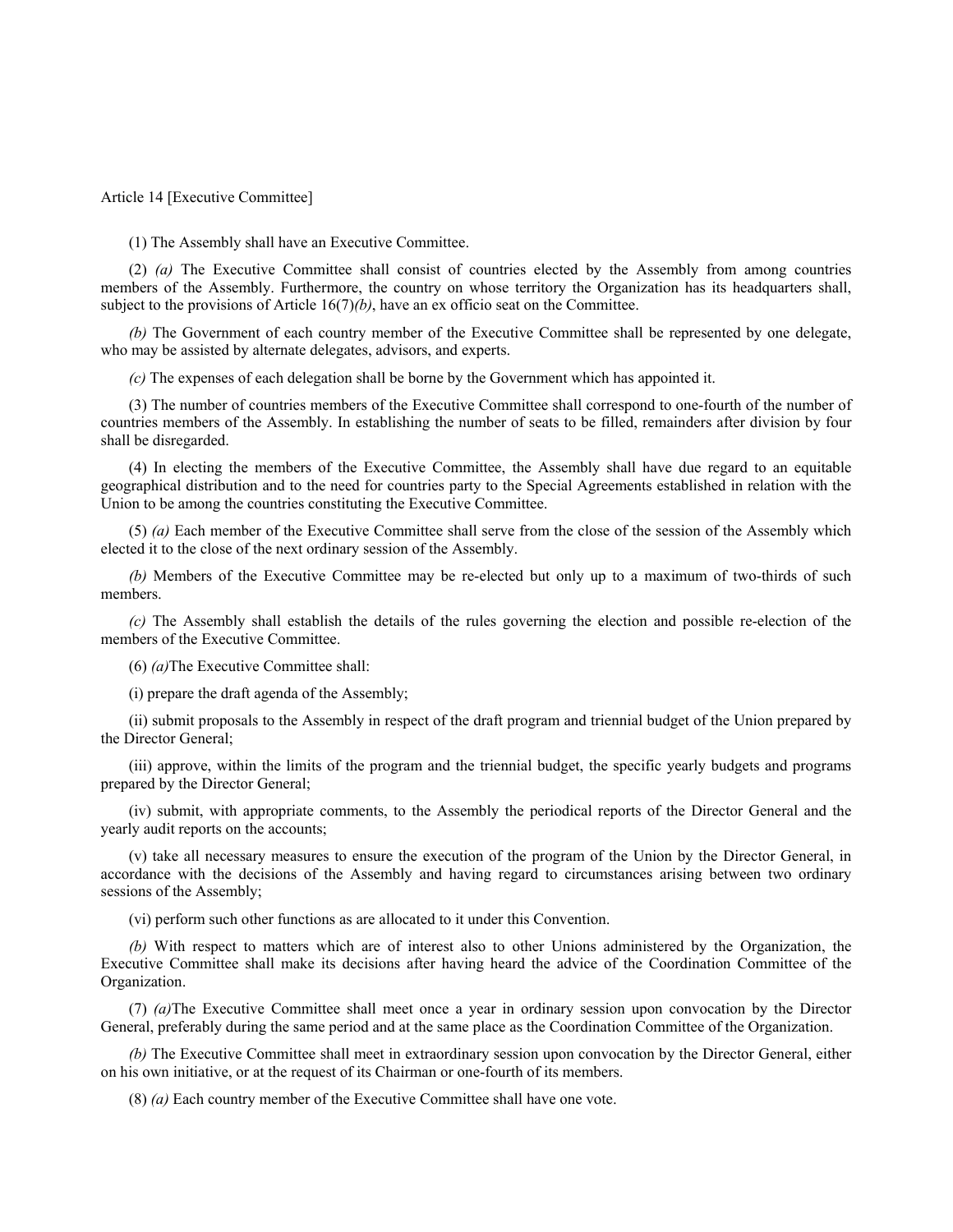Article 14 [Executive Committee]

(1) The Assembly shall have an Executive Committee.

(2) *(a)* The Executive Committee shall consist of countries elected by the Assembly from among countries members of the Assembly. Furthermore, the country on whose territory the Organization has its headquarters shall, subject to the provisions of Article 16(7)*(b)*, have an ex officio seat on the Committee.

*(b)* The Government of each country member of the Executive Committee shall be represented by one delegate, who may be assisted by alternate delegates, advisors, and experts.

*(c)* The expenses of each delegation shall be borne by the Government which has appointed it.

(3) The number of countries members of the Executive Committee shall correspond to one-fourth of the number of countries members of the Assembly. In establishing the number of seats to be filled, remainders after division by four shall be disregarded.

(4) In electing the members of the Executive Committee, the Assembly shall have due regard to an equitable geographical distribution and to the need for countries party to the Special Agreements established in relation with the Union to be among the countries constituting the Executive Committee.

(5) *(a)* Each member of the Executive Committee shall serve from the close of the session of the Assembly which elected it to the close of the next ordinary session of the Assembly.

*(b)* Members of the Executive Committee may be re-elected but only up to a maximum of two-thirds of such members.

*(c)* The Assembly shall establish the details of the rules governing the election and possible re-election of the members of the Executive Committee.

(6) *(a)*The Executive Committee shall:

(i) prepare the draft agenda of the Assembly;

(ii) submit proposals to the Assembly in respect of the draft program and triennial budget of the Union prepared by the Director General;

(iii) approve, within the limits of the program and the triennial budget, the specific yearly budgets and programs prepared by the Director General;

(iv) submit, with appropriate comments, to the Assembly the periodical reports of the Director General and the yearly audit reports on the accounts;

(v) take all necessary measures to ensure the execution of the program of the Union by the Director General, in accordance with the decisions of the Assembly and having regard to circumstances arising between two ordinary sessions of the Assembly;

(vi) perform such other functions as are allocated to it under this Convention.

*(b)* With respect to matters which are of interest also to other Unions administered by the Organization, the Executive Committee shall make its decisions after having heard the advice of the Coordination Committee of the Organization.

(7) *(a)*The Executive Committee shall meet once a year in ordinary session upon convocation by the Director General, preferably during the same period and at the same place as the Coordination Committee of the Organization.

*(b)* The Executive Committee shall meet in extraordinary session upon convocation by the Director General, either on his own initiative, or at the request of its Chairman or one-fourth of its members.

(8) *(a)* Each country member of the Executive Committee shall have one vote.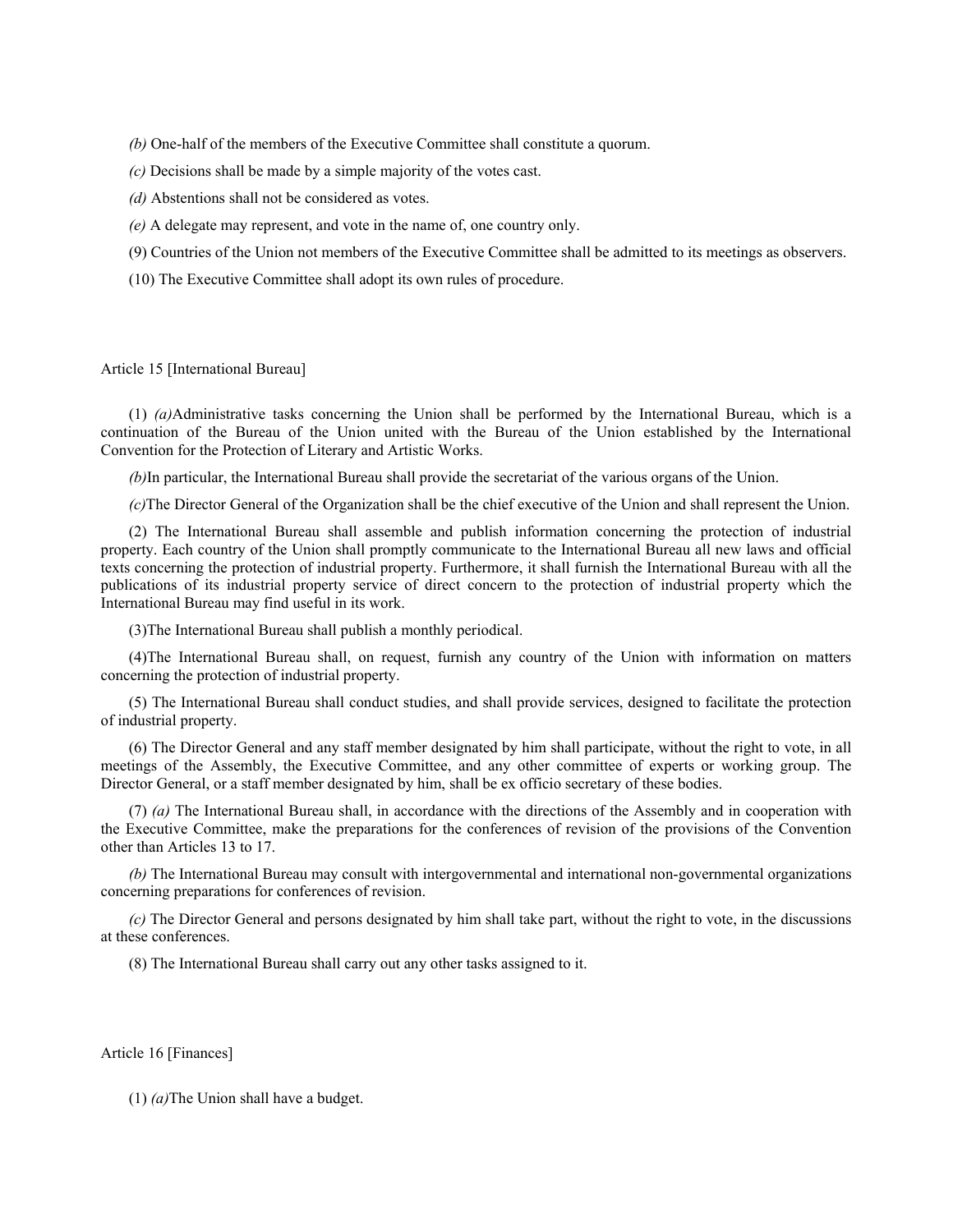*(b)* One-half of the members of the Executive Committee shall constitute a quorum.

- *(c)* Decisions shall be made by a simple majority of the votes cast.
- *(d)* Abstentions shall not be considered as votes.
- *(e)* A delegate may represent, and vote in the name of, one country only.
- (9) Countries of the Union not members of the Executive Committee shall be admitted to its meetings as observers.
- (10) The Executive Committee shall adopt its own rules of procedure.

### Article 15 [International Bureau]

(1) *(a)*Administrative tasks concerning the Union shall be performed by the International Bureau, which is a continuation of the Bureau of the Union united with the Bureau of the Union established by the International Convention for the Protection of Literary and Artistic Works.

*(b)*In particular, the International Bureau shall provide the secretariat of the various organs of the Union.

*(c)*The Director General of the Organization shall be the chief executive of the Union and shall represent the Union.

(2) The International Bureau shall assemble and publish information concerning the protection of industrial property. Each country of the Union shall promptly communicate to the International Bureau all new laws and official texts concerning the protection of industrial property. Furthermore, it shall furnish the International Bureau with all the publications of its industrial property service of direct concern to the protection of industrial property which the International Bureau may find useful in its work.

(3)The International Bureau shall publish a monthly periodical.

(4)The International Bureau shall, on request, furnish any country of the Union with information on matters concerning the protection of industrial property.

(5) The International Bureau shall conduct studies, and shall provide services, designed to facilitate the protection of industrial property.

(6) The Director General and any staff member designated by him shall participate, without the right to vote, in all meetings of the Assembly, the Executive Committee, and any other committee of experts or working group. The Director General, or a staff member designated by him, shall be ex officio secretary of these bodies.

(7) *(a)* The International Bureau shall, in accordance with the directions of the Assembly and in cooperation with the Executive Committee, make the preparations for the conferences of revision of the provisions of the Convention other than Articles 13 to 17.

*(b)* The International Bureau may consult with intergovernmental and international non-governmental organizations concerning preparations for conferences of revision.

*(c)* The Director General and persons designated by him shall take part, without the right to vote, in the discussions at these conferences.

(8) The International Bureau shall carry out any other tasks assigned to it.

Article 16 [Finances]

(1) *(a)*The Union shall have a budget.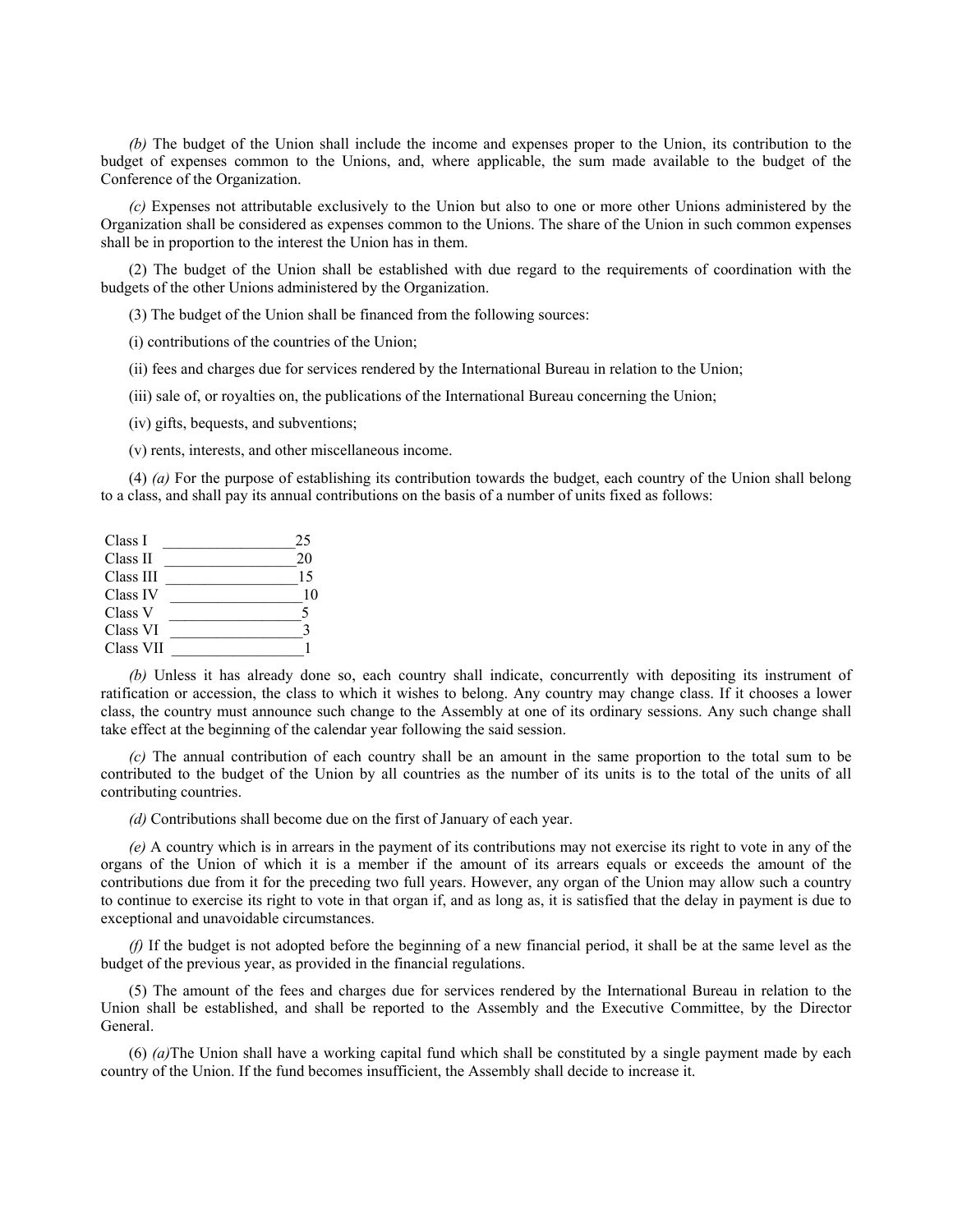*(b)* The budget of the Union shall include the income and expenses proper to the Union, its contribution to the budget of expenses common to the Unions, and, where applicable, the sum made available to the budget of the Conference of the Organization.

*(c)* Expenses not attributable exclusively to the Union but also to one or more other Unions administered by the Organization shall be considered as expenses common to the Unions. The share of the Union in such common expenses shall be in proportion to the interest the Union has in them.

(2) The budget of the Union shall be established with due regard to the requirements of coordination with the budgets of the other Unions administered by the Organization.

(3) The budget of the Union shall be financed from the following sources:

(i) contributions of the countries of the Union;

(ii) fees and charges due for services rendered by the International Bureau in relation to the Union;

(iii) sale of, or royalties on, the publications of the International Bureau concerning the Union;

(iv) gifts, bequests, and subventions;

(v) rents, interests, and other miscellaneous income.

(4) *(a)* For the purpose of establishing its contribution towards the budget, each country of the Union shall belong to a class, and shall pay its annual contributions on the basis of a number of units fixed as follows:

| 25 |
|----|
| 20 |
| 15 |
| 10 |
|    |
|    |
|    |
|    |

*(b)* Unless it has already done so, each country shall indicate, concurrently with depositing its instrument of ratification or accession, the class to which it wishes to belong. Any country may change class. If it chooses a lower class, the country must announce such change to the Assembly at one of its ordinary sessions. Any such change shall take effect at the beginning of the calendar year following the said session.

*(c)* The annual contribution of each country shall be an amount in the same proportion to the total sum to be contributed to the budget of the Union by all countries as the number of its units is to the total of the units of all contributing countries.

*(d)* Contributions shall become due on the first of January of each year.

*(e)* A country which is in arrears in the payment of its contributions may not exercise its right to vote in any of the organs of the Union of which it is a member if the amount of its arrears equals or exceeds the amount of the contributions due from it for the preceding two full years. However, any organ of the Union may allow such a country to continue to exercise its right to vote in that organ if, and as long as, it is satisfied that the delay in payment is due to exceptional and unavoidable circumstances.

*(f)* If the budget is not adopted before the beginning of a new financial period, it shall be at the same level as the budget of the previous year, as provided in the financial regulations.

(5) The amount of the fees and charges due for services rendered by the International Bureau in relation to the Union shall be established, and shall be reported to the Assembly and the Executive Committee, by the Director General.

(6) *(a)*The Union shall have a working capital fund which shall be constituted by a single payment made by each country of the Union. If the fund becomes insufficient, the Assembly shall decide to increase it.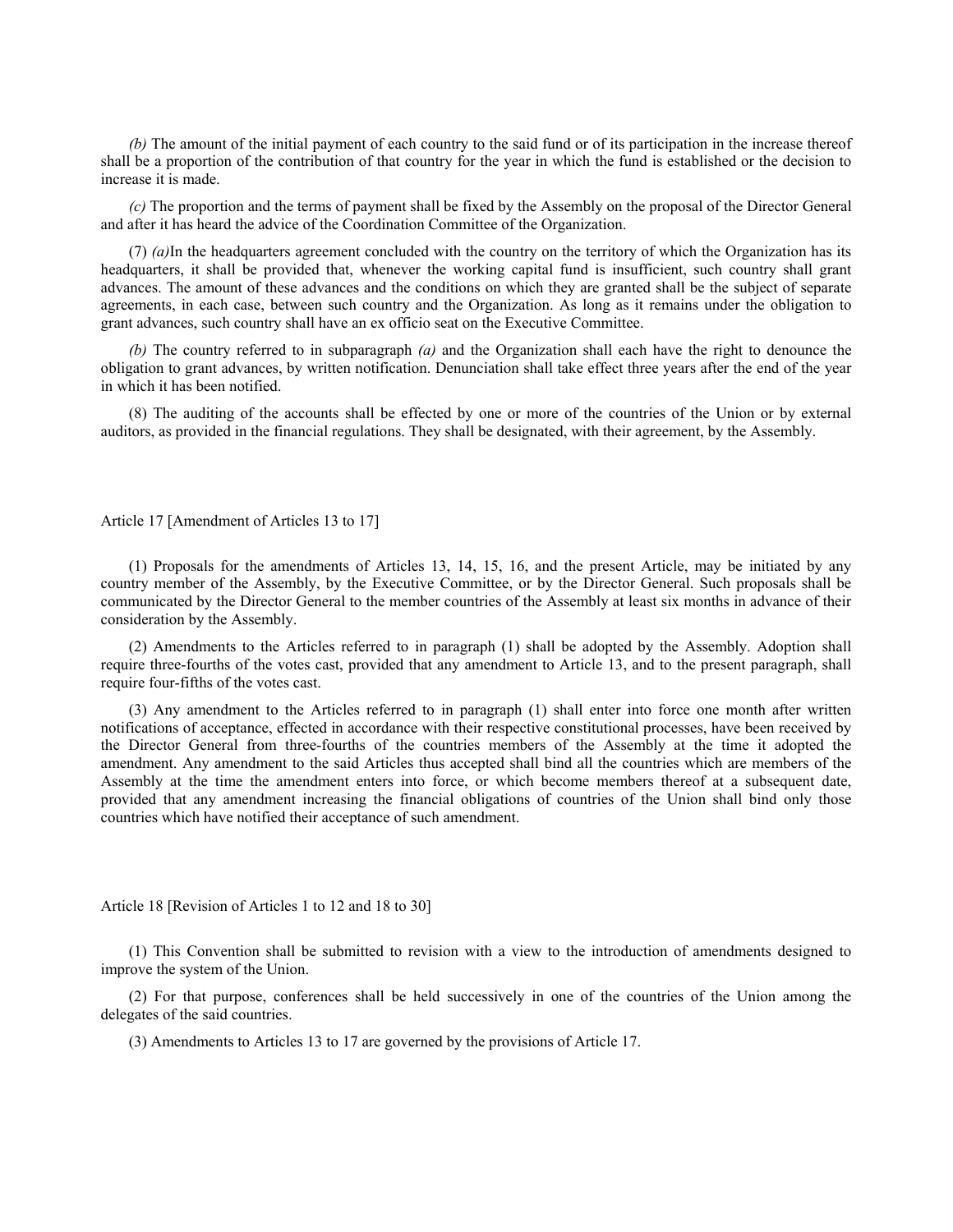*(b)* The amount of the initial payment of each country to the said fund or of its participation in the increase thereof shall be a proportion of the contribution of that country for the year in which the fund is established or the decision to increase it is made.

*(c)* The proportion and the terms of payment shall be fixed by the Assembly on the proposal of the Director General and after it has heard the advice of the Coordination Committee of the Organization.

(7) *(a)*In the headquarters agreement concluded with the country on the territory of which the Organization has its headquarters, it shall be provided that, whenever the working capital fund is insufficient, such country shall grant advances. The amount of these advances and the conditions on which they are granted shall be the subject of separate agreements, in each case, between such country and the Organization. As long as it remains under the obligation to grant advances, such country shall have an ex officio seat on the Executive Committee.

*(b)* The country referred to in subparagraph *(a)* and the Organization shall each have the right to denounce the obligation to grant advances, by written notification. Denunciation shall take effect three years after the end of the year in which it has been notified.

(8) The auditing of the accounts shall be effected by one or more of the countries of the Union or by external auditors, as provided in the financial regulations. They shall be designated, with their agreement, by the Assembly.

Article 17 [Amendment of Articles 13 to 17]

(1) Proposals for the amendments of Articles 13, 14, 15, 16, and the present Article, may be initiated by any country member of the Assembly, by the Executive Committee, or by the Director General. Such proposals shall be communicated by the Director General to the member countries of the Assembly at least six months in advance of their consideration by the Assembly.

(2) Amendments to the Articles referred to in paragraph (1) shall be adopted by the Assembly. Adoption shall require three-fourths of the votes cast, provided that any amendment to Article 13, and to the present paragraph, shall require four-fifths of the votes cast.

(3) Any amendment to the Articles referred to in paragraph (1) shall enter into force one month after written notifications of acceptance, effected in accordance with their respective constitutional processes, have been received by the Director General from three-fourths of the countries members of the Assembly at the time it adopted the amendment. Any amendment to the said Articles thus accepted shall bind all the countries which are members of the Assembly at the time the amendment enters into force, or which become members thereof at a subsequent date, provided that any amendment increasing the financial obligations of countries of the Union shall bind only those countries which have notified their acceptance of such amendment.

Article 18 [Revision of Articles 1 to 12 and 18 to 30]

(1) This Convention shall be submitted to revision with a view to the introduction of amendments designed to improve the system of the Union.

(2) For that purpose, conferences shall be held successively in one of the countries of the Union among the delegates of the said countries.

(3) Amendments to Articles 13 to 17 are governed by the provisions of Article 17.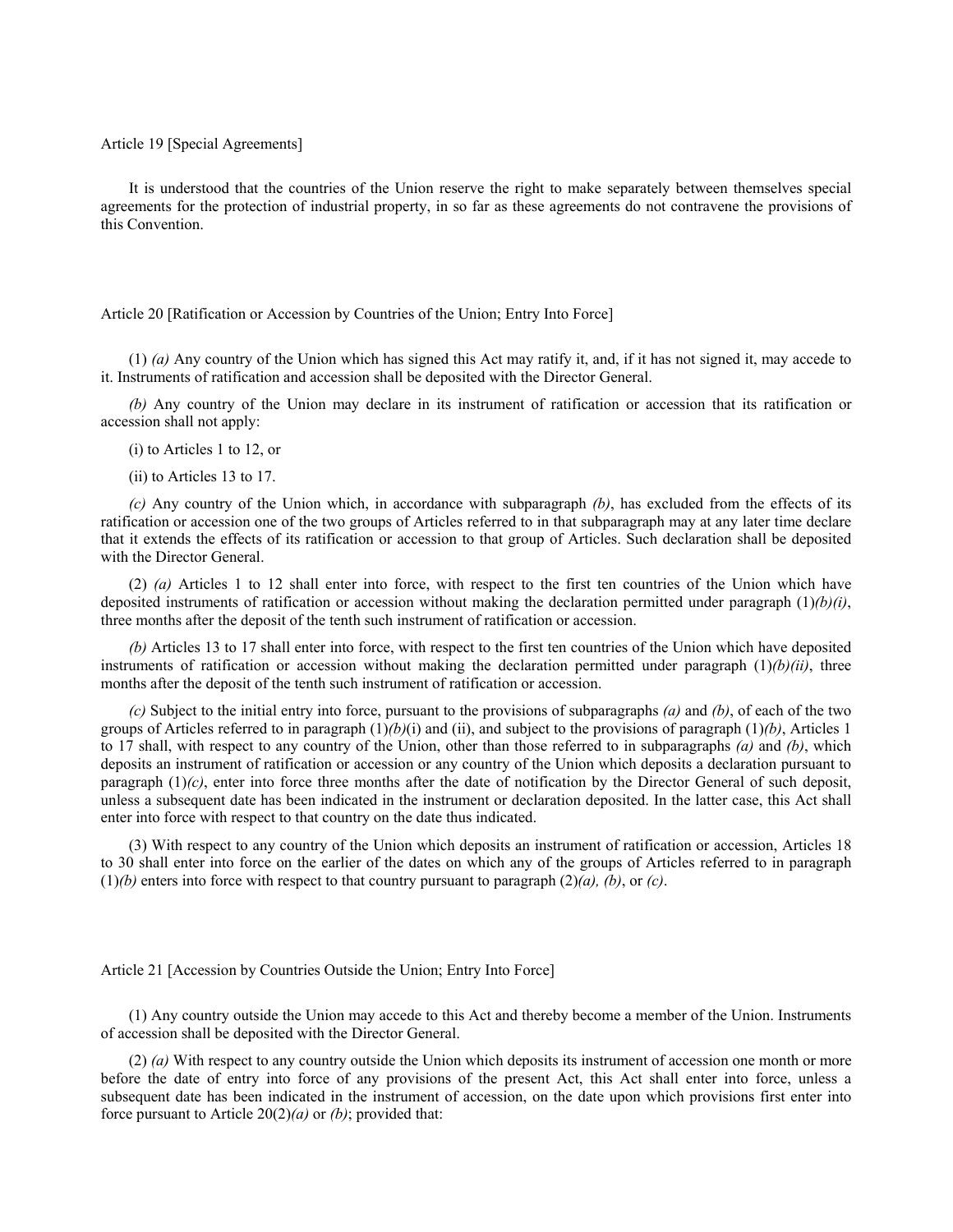### Article 19 [Special Agreements]

It is understood that the countries of the Union reserve the right to make separately between themselves special agreements for the protection of industrial property, in so far as these agreements do not contravene the provisions of this Convention.

Article 20 [Ratification or Accession by Countries of the Union; Entry Into Force]

(1) *(a)* Any country of the Union which has signed this Act may ratify it, and, if it has not signed it, may accede to it. Instruments of ratification and accession shall be deposited with the Director General.

*(b)* Any country of the Union may declare in its instrument of ratification or accession that its ratification or accession shall not apply:

(i) to Articles 1 to 12, or

(ii) to Articles 13 to 17.

*(c)* Any country of the Union which, in accordance with subparagraph *(b)*, has excluded from the effects of its ratification or accession one of the two groups of Articles referred to in that subparagraph may at any later time declare that it extends the effects of its ratification or accession to that group of Articles. Such declaration shall be deposited with the Director General.

(2) *(a)* Articles 1 to 12 shall enter into force, with respect to the first ten countries of the Union which have deposited instruments of ratification or accession without making the declaration permitted under paragraph (1)*(b)(i)*, three months after the deposit of the tenth such instrument of ratification or accession.

*(b)* Articles 13 to 17 shall enter into force, with respect to the first ten countries of the Union which have deposited instruments of ratification or accession without making the declaration permitted under paragraph  $(1)/b/(ii)$ , three months after the deposit of the tenth such instrument of ratification or accession.

*(c)* Subject to the initial entry into force, pursuant to the provisions of subparagraphs *(a)* and *(b)*, of each of the two groups of Articles referred to in paragraph (1)*(b)*(i) and (ii), and subject to the provisions of paragraph (1)*(b)*, Articles 1 to 17 shall, with respect to any country of the Union, other than those referred to in subparagraphs *(a)* and *(b)*, which deposits an instrument of ratification or accession or any country of the Union which deposits a declaration pursuant to paragraph (1)*(c)*, enter into force three months after the date of notification by the Director General of such deposit, unless a subsequent date has been indicated in the instrument or declaration deposited. In the latter case, this Act shall enter into force with respect to that country on the date thus indicated.

(3) With respect to any country of the Union which deposits an instrument of ratification or accession, Articles 18 to 30 shall enter into force on the earlier of the dates on which any of the groups of Articles referred to in paragraph (1)*(b)* enters into force with respect to that country pursuant to paragraph (2)*(a), (b)*, or *(c)*.

Article 21 [Accession by Countries Outside the Union; Entry Into Force]

(1) Any country outside the Union may accede to this Act and thereby become a member of the Union. Instruments of accession shall be deposited with the Director General.

(2) *(a)* With respect to any country outside the Union which deposits its instrument of accession one month or more before the date of entry into force of any provisions of the present Act, this Act shall enter into force, unless a subsequent date has been indicated in the instrument of accession, on the date upon which provisions first enter into force pursuant to Article 20(2)*(a)* or *(b)*; provided that: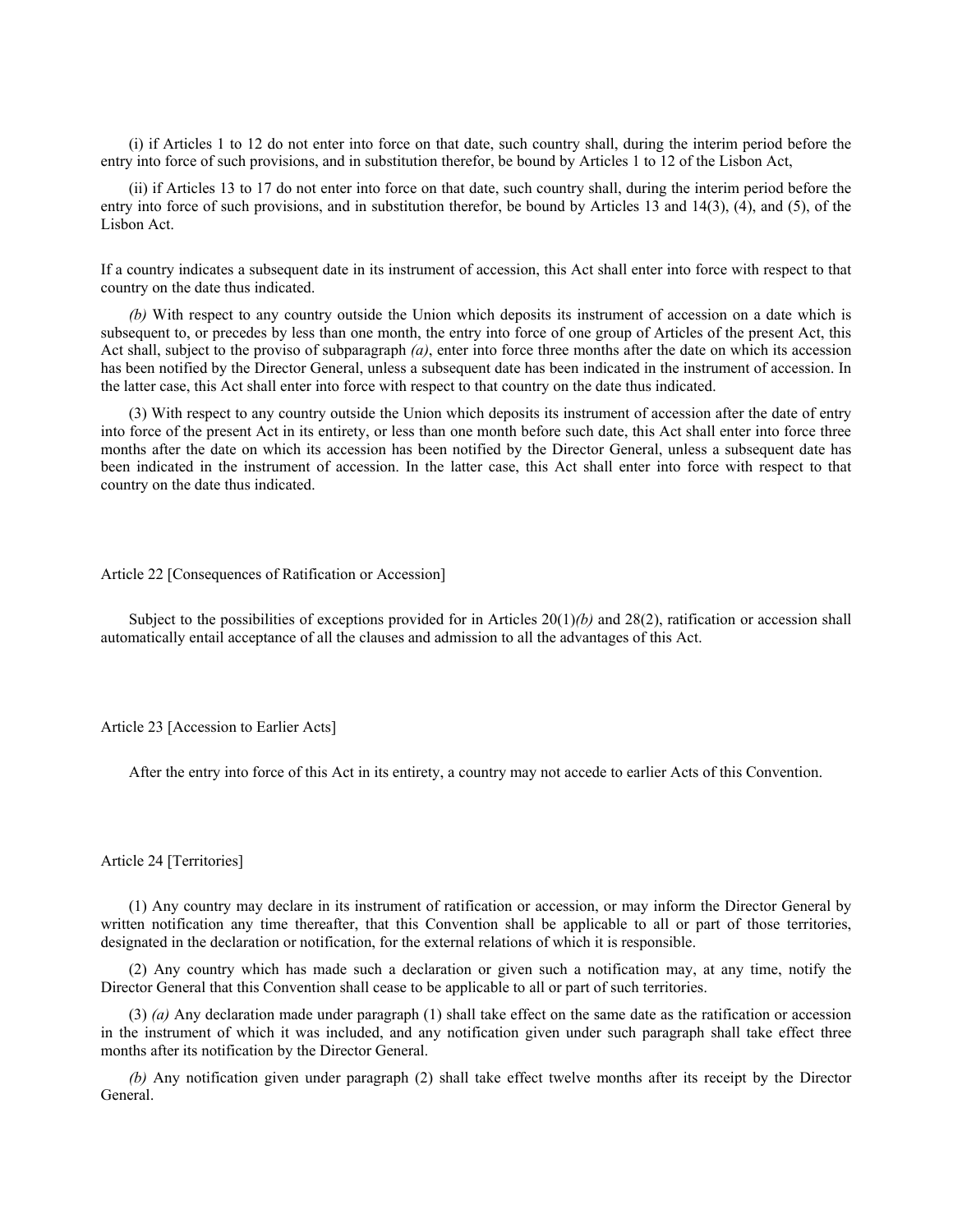(i) if Articles 1 to 12 do not enter into force on that date, such country shall, during the interim period before the entry into force of such provisions, and in substitution therefor, be bound by Articles 1 to 12 of the Lisbon Act,

(ii) if Articles 13 to 17 do not enter into force on that date, such country shall, during the interim period before the entry into force of such provisions, and in substitution therefor, be bound by Articles 13 and 14(3), (4), and (5), of the Lisbon Act.

If a country indicates a subsequent date in its instrument of accession, this Act shall enter into force with respect to that country on the date thus indicated.

*(b)* With respect to any country outside the Union which deposits its instrument of accession on a date which is subsequent to, or precedes by less than one month, the entry into force of one group of Articles of the present Act, this Act shall, subject to the proviso of subparagraph *(a)*, enter into force three months after the date on which its accession has been notified by the Director General, unless a subsequent date has been indicated in the instrument of accession. In the latter case, this Act shall enter into force with respect to that country on the date thus indicated.

(3) With respect to any country outside the Union which deposits its instrument of accession after the date of entry into force of the present Act in its entirety, or less than one month before such date, this Act shall enter into force three months after the date on which its accession has been notified by the Director General, unless a subsequent date has been indicated in the instrument of accession. In the latter case, this Act shall enter into force with respect to that country on the date thus indicated.

## Article 22 [Consequences of Ratification or Accession]

Subject to the possibilities of exceptions provided for in Articles 20(1)*(b)* and 28(2), ratification or accession shall automatically entail acceptance of all the clauses and admission to all the advantages of this Act.

### Article 23 [Accession to Earlier Acts]

After the entry into force of this Act in its entirety, a country may not accede to earlier Acts of this Convention.

### Article 24 [Territories]

(1) Any country may declare in its instrument of ratification or accession, or may inform the Director General by written notification any time thereafter, that this Convention shall be applicable to all or part of those territories, designated in the declaration or notification, for the external relations of which it is responsible.

(2) Any country which has made such a declaration or given such a notification may, at any time, notify the Director General that this Convention shall cease to be applicable to all or part of such territories.

(3) *(a)* Any declaration made under paragraph (1) shall take effect on the same date as the ratification or accession in the instrument of which it was included, and any notification given under such paragraph shall take effect three months after its notification by the Director General.

*(b)* Any notification given under paragraph (2) shall take effect twelve months after its receipt by the Director General.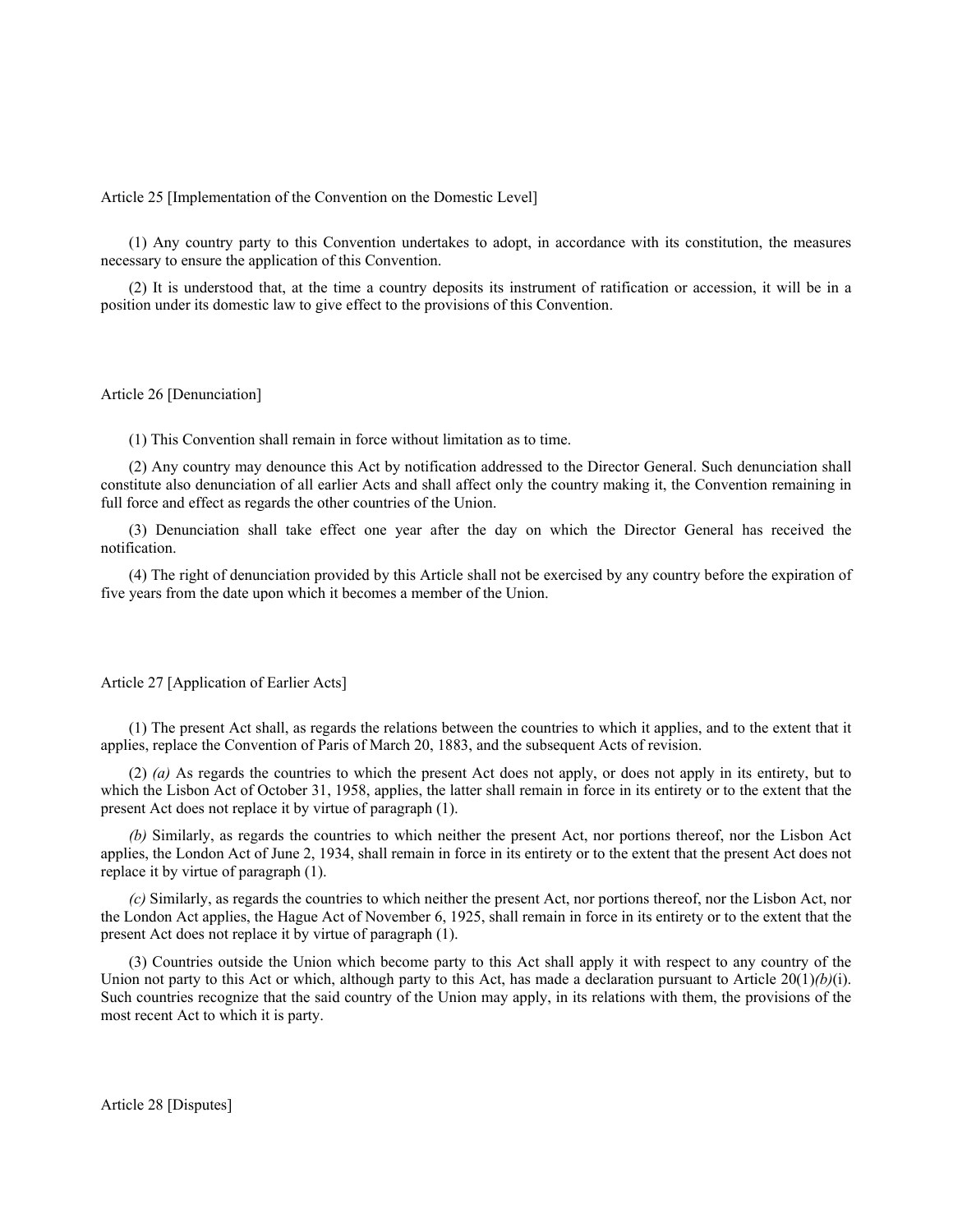Article 25 [Implementation of the Convention on the Domestic Level]

(1) Any country party to this Convention undertakes to adopt, in accordance with its constitution, the measures necessary to ensure the application of this Convention.

(2) It is understood that, at the time a country deposits its instrument of ratification or accession, it will be in a position under its domestic law to give effect to the provisions of this Convention.

Article 26 [Denunciation]

(1) This Convention shall remain in force without limitation as to time.

(2) Any country may denounce this Act by notification addressed to the Director General. Such denunciation shall constitute also denunciation of all earlier Acts and shall affect only the country making it, the Convention remaining in full force and effect as regards the other countries of the Union.

(3) Denunciation shall take effect one year after the day on which the Director General has received the notification.

(4) The right of denunciation provided by this Article shall not be exercised by any country before the expiration of five years from the date upon which it becomes a member of the Union.

## Article 27 [Application of Earlier Acts]

(1) The present Act shall, as regards the relations between the countries to which it applies, and to the extent that it applies, replace the Convention of Paris of March 20, 1883, and the subsequent Acts of revision.

(2) *(a)* As regards the countries to which the present Act does not apply, or does not apply in its entirety, but to which the Lisbon Act of October 31, 1958, applies, the latter shall remain in force in its entirety or to the extent that the present Act does not replace it by virtue of paragraph (1).

*(b)* Similarly, as regards the countries to which neither the present Act, nor portions thereof, nor the Lisbon Act applies, the London Act of June 2, 1934, shall remain in force in its entirety or to the extent that the present Act does not replace it by virtue of paragraph (1).

*(c)* Similarly, as regards the countries to which neither the present Act, nor portions thereof, nor the Lisbon Act, nor the London Act applies, the Hague Act of November 6, 1925, shall remain in force in its entirety or to the extent that the present Act does not replace it by virtue of paragraph (1).

(3) Countries outside the Union which become party to this Act shall apply it with respect to any country of the Union not party to this Act or which, although party to this Act, has made a declaration pursuant to Article  $20(1)/b$ )(i). Such countries recognize that the said country of the Union may apply, in its relations with them, the provisions of the most recent Act to which it is party.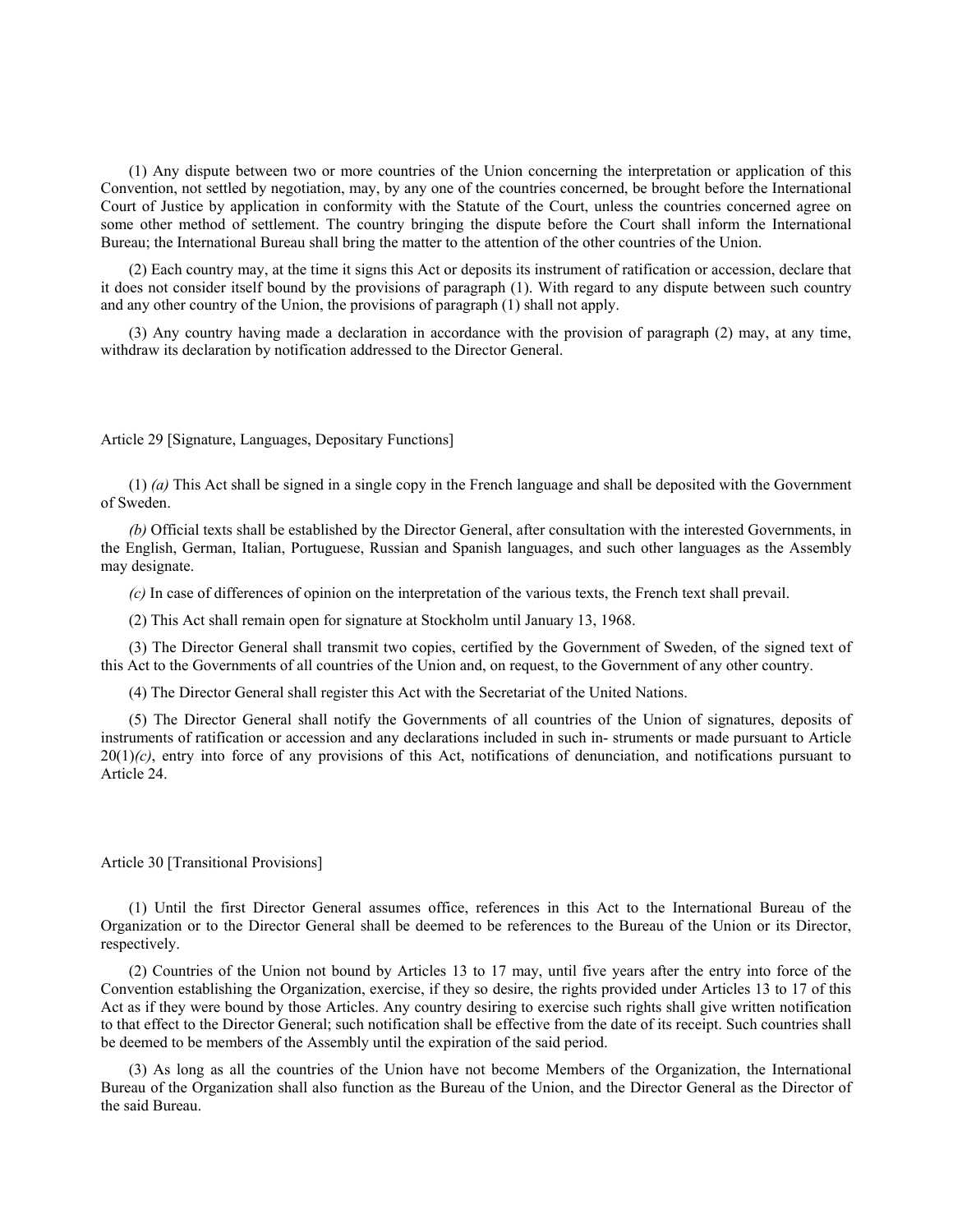(1) Any dispute between two or more countries of the Union concerning the interpretation or application of this Convention, not settled by negotiation, may, by any one of the countries concerned, be brought before the International Court of Justice by application in conformity with the Statute of the Court, unless the countries concerned agree on some other method of settlement. The country bringing the dispute before the Court shall inform the International Bureau; the International Bureau shall bring the matter to the attention of the other countries of the Union.

(2) Each country may, at the time it signs this Act or deposits its instrument of ratification or accession, declare that it does not consider itself bound by the provisions of paragraph (1). With regard to any dispute between such country and any other country of the Union, the provisions of paragraph (1) shall not apply.

(3) Any country having made a declaration in accordance with the provision of paragraph (2) may, at any time, withdraw its declaration by notification addressed to the Director General.

Article 29 [Signature, Languages, Depositary Functions]

(1) *(a)* This Act shall be signed in a single copy in the French language and shall be deposited with the Government of Sweden.

*(b)* Official texts shall be established by the Director General, after consultation with the interested Governments, in the English, German, Italian, Portuguese, Russian and Spanish languages, and such other languages as the Assembly may designate.

*(c)* In case of differences of opinion on the interpretation of the various texts, the French text shall prevail.

(2) This Act shall remain open for signature at Stockholm until January 13, 1968.

(3) The Director General shall transmit two copies, certified by the Government of Sweden, of the signed text of this Act to the Governments of all countries of the Union and, on request, to the Government of any other country.

(4) The Director General shall register this Act with the Secretariat of the United Nations.

(5) The Director General shall notify the Governments of all countries of the Union of signatures, deposits of instruments of ratification or accession and any declarations included in such in- struments or made pursuant to Article  $20(1)$ *(c)*, entry into force of any provisions of this Act, notifications of denunciation, and notifications pursuant to Article 24.

# Article 30 [Transitional Provisions]

(1) Until the first Director General assumes office, references in this Act to the International Bureau of the Organization or to the Director General shall be deemed to be references to the Bureau of the Union or its Director, respectively.

(2) Countries of the Union not bound by Articles 13 to 17 may, until five years after the entry into force of the Convention establishing the Organization, exercise, if they so desire, the rights provided under Articles 13 to 17 of this Act as if they were bound by those Articles. Any country desiring to exercise such rights shall give written notification to that effect to the Director General; such notification shall be effective from the date of its receipt. Such countries shall be deemed to be members of the Assembly until the expiration of the said period.

(3) As long as all the countries of the Union have not become Members of the Organization, the International Bureau of the Organization shall also function as the Bureau of the Union, and the Director General as the Director of the said Bureau.